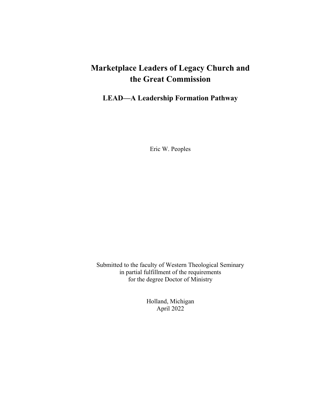# **Marketplace Leaders of Legacy Church and the Great Commission**

## **LEAD—A Leadership Formation Pathway**

Eric W. Peoples

Submitted to the faculty of Western Theological Seminary in partial fulfillment of the requirements for the degree Doctor of Ministry

> Holland, Michigan April 2022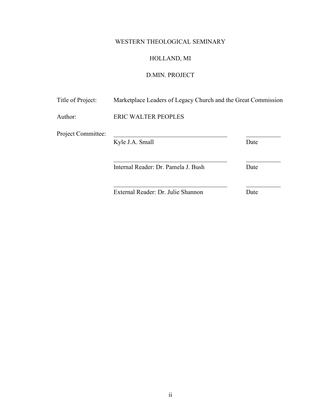## WESTERN THEOLOGICAL SEMINARY

## HOLLAND, MI

## D.MIN. PROJECT

| Title of Project:  | Marketplace Leaders of Legacy Church and the Great Commission |      |
|--------------------|---------------------------------------------------------------|------|
| Author:            | <b>ERIC WALTER PEOPLES</b>                                    |      |
| Project Committee: | Kyle J.A. Small                                               | Date |
|                    | Internal Reader: Dr. Pamela J. Bush                           | Date |
|                    | External Reader: Dr. Julie Shannon                            | Date |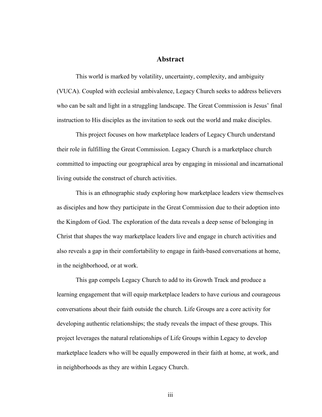## **Abstract**

This world is marked by volatility, uncertainty, complexity, and ambiguity (VUCA). Coupled with ecclesial ambivalence, Legacy Church seeks to address believers who can be salt and light in a struggling landscape. The Great Commission is Jesus' final instruction to His disciples as the invitation to seek out the world and make disciples.

This project focuses on how marketplace leaders of Legacy Church understand their role in fulfilling the Great Commission. Legacy Church is a marketplace church committed to impacting our geographical area by engaging in missional and incarnational living outside the construct of church activities.

This is an ethnographic study exploring how marketplace leaders view themselves as disciples and how they participate in the Great Commission due to their adoption into the Kingdom of God. The exploration of the data reveals a deep sense of belonging in Christ that shapes the way marketplace leaders live and engage in church activities and also reveals a gap in their comfortability to engage in faith-based conversations at home, in the neighborhood, or at work.

This gap compels Legacy Church to add to its Growth Track and produce a learning engagement that will equip marketplace leaders to have curious and courageous conversations about their faith outside the church. Life Groups are a core activity for developing authentic relationships; the study reveals the impact of these groups. This project leverages the natural relationships of Life Groups within Legacy to develop marketplace leaders who will be equally empowered in their faith at home, at work, and in neighborhoods as they are within Legacy Church.

iii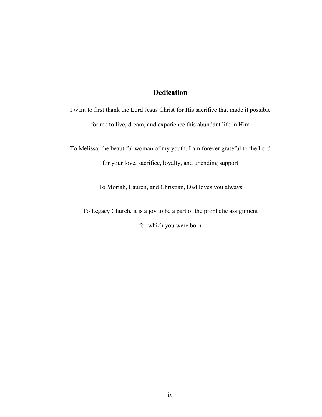## **Dedication**

I want to first thank the Lord Jesus Christ for His sacrifice that made it possible for me to live, dream, and experience this abundant life in Him

To Melissa, the beautiful woman of my youth, I am forever grateful to the Lord for your love, sacrifice, loyalty, and unending support

To Moriah, Lauren, and Christian, Dad loves you always

To Legacy Church, it is a joy to be a part of the prophetic assignment for which you were born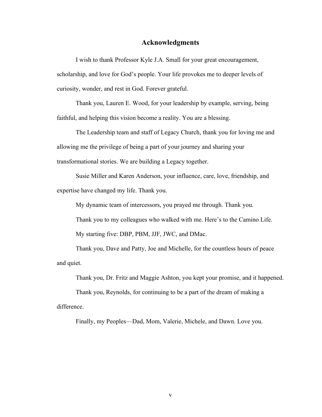#### **Acknowledgments**

I wish to thank Professor Kyle J.A. Small for your great encouragement, scholarship, and love for God's people. Your life provokes me to deeper levels of curiosity, wonder, and rest in God. Forever grateful.

Thank you, Lauren E. Wood, for your leadership by example, serving, being faithful, and helping this vision become a reality. You are a blessing.

The Leadership team and staff of Legacy Church, thank you for loving me and allowing me the privilege of being a part of your journey and sharing your transformational stories. We are building a Legacy together.

Susie Miller and Karen Anderson, your influence, care, love, friendship, and expertise have changed my life. Thank you.

My dynamic team of intercessors, you prayed me through. Thank you.

Thank you to my colleagues who walked with me. Here's to the Camino Life.

My starting five: DBP, PBM, JJF, JWC, and DMac.

Thank you, Dave and Patty, Joe and Michelle, for the countless hours of peace and quiet.

Thank you, Dr. Fritz and Maggie Ashton, you kept your promise, and it happened.

Thank you, Reynolds, for continuing to be a part of the dream of making a difference.

Finally, my Peoples—Dad, Mom, Valerie, Michele, and Dawn. Love you.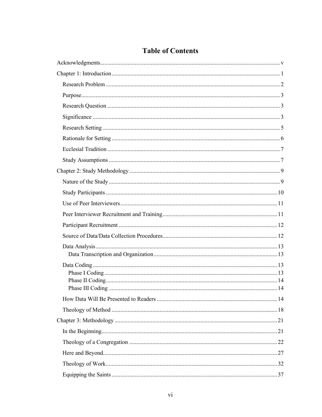## **Table of Contents**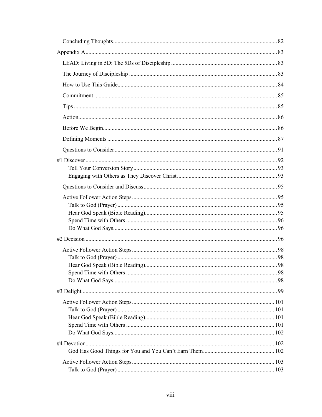| 98 |
|----|
|    |
|    |
|    |
|    |
|    |
|    |
|    |
|    |
|    |
|    |
|    |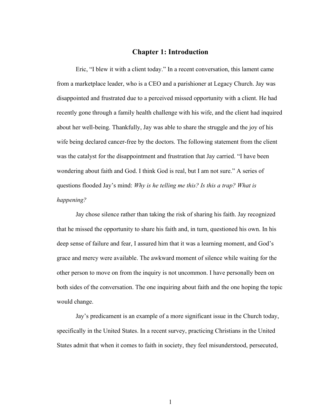### **Chapter 1: Introduction**

Eric, "I blew it with a client today." In a recent conversation, this lament came from a marketplace leader, who is a CEO and a parishioner at Legacy Church. Jay was disappointed and frustrated due to a perceived missed opportunity with a client. He had recently gone through a family health challenge with his wife, and the client had inquired about her well-being. Thankfully, Jay was able to share the struggle and the joy of his wife being declared cancer-free by the doctors. The following statement from the client was the catalyst for the disappointment and frustration that Jay carried. "I have been wondering about faith and God. I think God is real, but I am not sure." A series of questions flooded Jay's mind: *Why is he telling me this? Is this a trap? What is happening?*

Jay chose silence rather than taking the risk of sharing his faith. Jay recognized that he missed the opportunity to share his faith and, in turn, questioned his own. In his deep sense of failure and fear, I assured him that it was a learning moment, and God's grace and mercy were available. The awkward moment of silence while waiting for the other person to move on from the inquiry is not uncommon. I have personally been on both sides of the conversation. The one inquiring about faith and the one hoping the topic would change.

Jay's predicament is an example of a more significant issue in the Church today, specifically in the United States. In a recent survey, practicing Christians in the United States admit that when it comes to faith in society, they feel misunderstood, persecuted,

1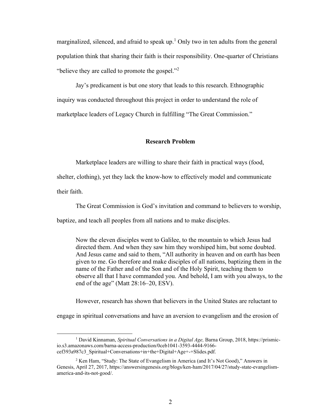marginalized, silenced, and afraid to speak up.<sup>1</sup> Only two in ten adults from the general population think that sharing their faith is their responsibility. One-quarter of Christians "believe they are called to promote the gospel. $^{2}$ ?"

Jay's predicament is but one story that leads to this research. Ethnographic inquiry was conducted throughout this project in order to understand the role of marketplace leaders of Legacy Church in fulfilling "The Great Commission."

#### **Research Problem**

Marketplace leaders are willing to share their faith in practical ways (food,

shelter, clothing), yet they lack the know-how to effectively model and communicate

their faith.

The Great Commission is God's invitation and command to believers to worship,

baptize, and teach all peoples from all nations and to make disciples.

Now the eleven disciples went to Galilee, to the mountain to which Jesus had directed them. And when they saw him they worshiped him, but some doubted. And Jesus came and said to them, "All authority in heaven and on earth has been given to me. Go therefore and make disciples of all nations, baptizing them in the name of the Father and of the Son and of the Holy Spirit, teaching them to observe all that I have commanded you. And behold, I am with you always, to the end of the age" (Matt 28:16–20, ESV).

However, research has shown that believers in the United States are reluctant to

engage in spiritual conversations and have an aversion to evangelism and the erosion of

<sup>1</sup> David Kinnaman, *Spiritual Conversations in a Digital Age,* Barna Group, 2018, https://prismicio.s3.amazonaws.com/barna-access-production/0ceb1041-3593-4444-9166 cef393a987c3\_Spiritual+Conversations+in+the+Digital+Age+-+Slides.pdf.

<sup>2</sup> Ken Ham, "Study: The State of Evangelism in America (and It's Not Good)," Answers in Genesis, April 27, 2017, https://answersingenesis.org/blogs/ken-ham/2017/04/27/study-state-evangelismamerica-and-its-not-good/.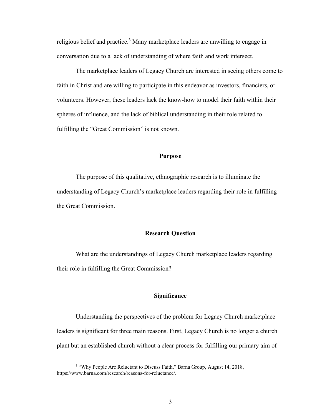religious belief and practice.<sup>3</sup> Many marketplace leaders are unwilling to engage in conversation due to a lack of understanding of where faith and work intersect.

The marketplace leaders of Legacy Church are interested in seeing others come to faith in Christ and are willing to participate in this endeavor as investors, financiers, or volunteers. However, these leaders lack the know-how to model their faith within their spheres of influence, and the lack of biblical understanding in their role related to fulfilling the "Great Commission" is not known.

#### **Purpose**

The purpose of this qualitative, ethnographic research is to illuminate the understanding of Legacy Church's marketplace leaders regarding their role in fulfilling the Great Commission.

#### **Research Question**

What are the understandings of Legacy Church marketplace leaders regarding their role in fulfilling the Great Commission?

## **Significance**

Understanding the perspectives of the problem for Legacy Church marketplace leaders is significant for three main reasons. First, Legacy Church is no longer a church plant but an established church without a clear process for fulfilling our primary aim of

<sup>&</sup>lt;sup>3</sup> "Why People Are Reluctant to Discuss Faith," Barna Group, August 14, 2018, https://www.barna.com/research/reasons-for-reluctance/.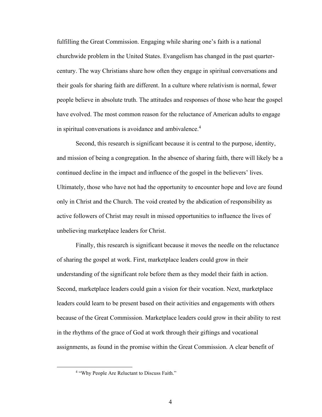fulfilling the Great Commission. Engaging while sharing one's faith is a national churchwide problem in the United States. Evangelism has changed in the past quartercentury. The way Christians share how often they engage in spiritual conversations and their goals for sharing faith are different. In a culture where relativism is normal, fewer people believe in absolute truth. The attitudes and responses of those who hear the gospel have evolved. The most common reason for the reluctance of American adults to engage in spiritual conversations is avoidance and ambivalence.<sup>4</sup>

Second, this research is significant because it is central to the purpose, identity, and mission of being a congregation. In the absence of sharing faith, there will likely be a continued decline in the impact and influence of the gospel in the believers' lives. Ultimately, those who have not had the opportunity to encounter hope and love are found only in Christ and the Church. The void created by the abdication of responsibility as active followers of Christ may result in missed opportunities to influence the lives of unbelieving marketplace leaders for Christ.

Finally, this research is significant because it moves the needle on the reluctance of sharing the gospel at work. First, marketplace leaders could grow in their understanding of the significant role before them as they model their faith in action. Second, marketplace leaders could gain a vision for their vocation. Next, marketplace leaders could learn to be present based on their activities and engagements with others because of the Great Commission. Marketplace leaders could grow in their ability to rest in the rhythms of the grace of God at work through their giftings and vocational assignments, as found in the promise within the Great Commission. A clear benefit of

<sup>&</sup>lt;sup>4</sup> "Why People Are Reluctant to Discuss Faith."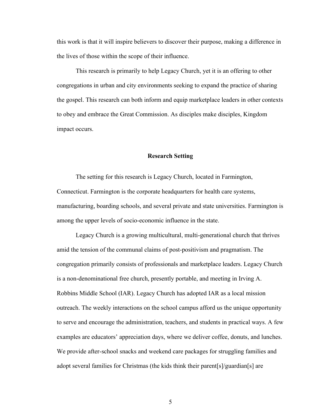this work is that it will inspire believers to discover their purpose, making a difference in the lives of those within the scope of their influence.

This research is primarily to help Legacy Church, yet it is an offering to other congregations in urban and city environments seeking to expand the practice of sharing the gospel. This research can both inform and equip marketplace leaders in other contexts to obey and embrace the Great Commission. As disciples make disciples, Kingdom impact occurs.

#### **Research Setting**

The setting for this research is Legacy Church, located in Farmington, Connecticut. Farmington is the corporate headquarters for health care systems, manufacturing, boarding schools, and several private and state universities. Farmington is among the upper levels of socio-economic influence in the state.

Legacy Church is a growing multicultural, multi-generational church that thrives amid the tension of the communal claims of post-positivism and pragmatism. The congregation primarily consists of professionals and marketplace leaders. Legacy Church is a non-denominational free church, presently portable, and meeting in Irving A. Robbins Middle School (IAR). Legacy Church has adopted IAR as a local mission outreach. The weekly interactions on the school campus afford us the unique opportunity to serve and encourage the administration, teachers, and students in practical ways. A few examples are educators' appreciation days, where we deliver coffee, donuts, and lunches. We provide after-school snacks and weekend care packages for struggling families and adopt several families for Christmas (the kids think their parent[s]/guardian[s] are

5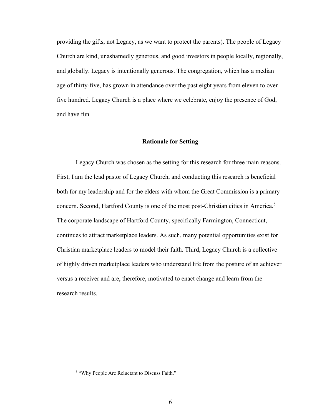providing the gifts, not Legacy, as we want to protect the parents). The people of Legacy Church are kind, unashamedly generous, and good investors in people locally, regionally, and globally. Legacy is intentionally generous. The congregation, which has a median age of thirty-five, has grown in attendance over the past eight years from eleven to over five hundred. Legacy Church is a place where we celebrate, enjoy the presence of God, and have fun.

#### **Rationale for Setting**

Legacy Church was chosen as the setting for this research for three main reasons. First, I am the lead pastor of Legacy Church, and conducting this research is beneficial both for my leadership and for the elders with whom the Great Commission is a primary concern. Second, Hartford County is one of the most post-Christian cities in America.<sup>5</sup> The corporate landscape of Hartford County, specifically Farmington, Connecticut, continues to attract marketplace leaders. As such, many potential opportunities exist for Christian marketplace leaders to model their faith. Third, Legacy Church is a collective of highly driven marketplace leaders who understand life from the posture of an achiever versus a receiver and are, therefore, motivated to enact change and learn from the research results.

<sup>&</sup>lt;sup>5</sup> "Why People Are Reluctant to Discuss Faith."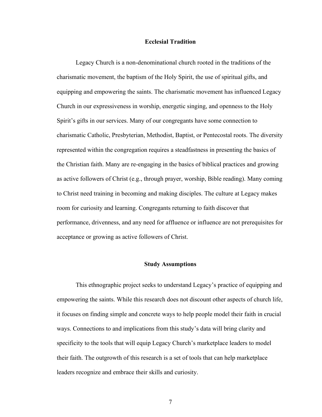#### **Ecclesial Tradition**

Legacy Church is a non-denominational church rooted in the traditions of the charismatic movement, the baptism of the Holy Spirit, the use of spiritual gifts, and equipping and empowering the saints. The charismatic movement has influenced Legacy Church in our expressiveness in worship, energetic singing, and openness to the Holy Spirit's gifts in our services. Many of our congregants have some connection to charismatic Catholic, Presbyterian, Methodist, Baptist, or Pentecostal roots. The diversity represented within the congregation requires a steadfastness in presenting the basics of the Christian faith. Many are re-engaging in the basics of biblical practices and growing as active followers of Christ (e.g., through prayer, worship, Bible reading). Many coming to Christ need training in becoming and making disciples. The culture at Legacy makes room for curiosity and learning. Congregants returning to faith discover that performance, drivenness, and any need for affluence or influence are not prerequisites for acceptance or growing as active followers of Christ.

#### **Study Assumptions**

This ethnographic project seeks to understand Legacy's practice of equipping and empowering the saints. While this research does not discount other aspects of church life, it focuses on finding simple and concrete ways to help people model their faith in crucial ways. Connections to and implications from this study's data will bring clarity and specificity to the tools that will equip Legacy Church's marketplace leaders to model their faith. The outgrowth of this research is a set of tools that can help marketplace leaders recognize and embrace their skills and curiosity.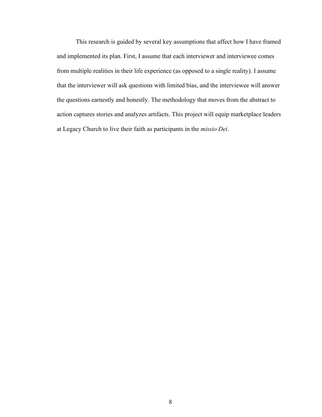This research is guided by several key assumptions that affect how I have framed and implemented its plan. First, I assume that each interviewer and interviewee comes from multiple realities in their life experience (as opposed to a single reality). I assume that the interviewer will ask questions with limited bias, and the interviewee will answer the questions earnestly and honestly. The methodology that moves from the abstract to action captures stories and analyzes artifacts. This project will equip marketplace leaders at Legacy Church to live their faith as participants in the *missio Dei*.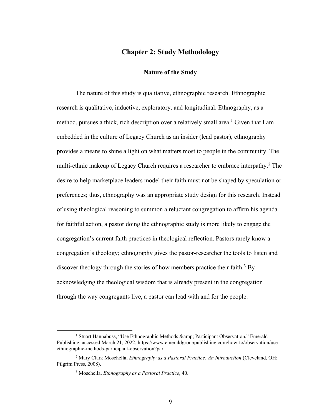## **Chapter 2: Study Methodology**

#### **Nature of the Study**

The nature of this study is qualitative, ethnographic research. Ethnographic research is qualitative, inductive, exploratory, and longitudinal. Ethnography, as a method, pursues a thick, rich description over a relatively small area.<sup>1</sup> Given that I am embedded in the culture of Legacy Church as an insider (lead pastor), ethnography provides a means to shine a light on what matters most to people in the community. The multi-ethnic makeup of Legacy Church requires a researcher to embrace interpathy.<sup>2</sup> The desire to help marketplace leaders model their faith must not be shaped by speculation or preferences; thus, ethnography was an appropriate study design for this research. Instead of using theological reasoning to summon a reluctant congregation to affirm his agenda for faithful action, a pastor doing the ethnographic study is more likely to engage the congregation's current faith practices in theological reflection. Pastors rarely know a congregation's theology; ethnography gives the pastor-researcher the tools to listen and discover theology through the stories of how members practice their faith.<sup>3</sup> By acknowledging the theological wisdom that is already present in the congregation through the way congregants live, a pastor can lead with and for the people.

<sup>&</sup>lt;sup>1</sup> Stuart Hannabuss, "Use Ethnographic Methods & amp; Participant Observation," Emerald Publishing, accessed March 21, 2022, https://www.emeraldgrouppublishing.com/how-to/observation/useethnographic-methods-participant-observation?part=1.

<sup>2</sup> Mary Clark Moschella, *Ethnography as a Pastoral Practice: An Introduction* (Cleveland, OH: Pilgrim Press, 2008).

<sup>3</sup> Moschella, *Ethnography as a Pastoral Practice*, 40.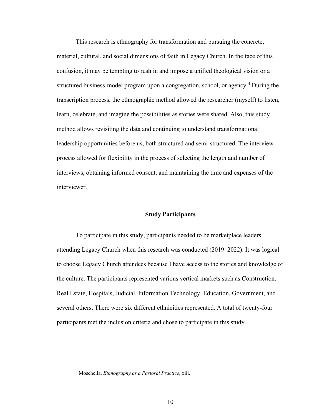This research is ethnography for transformation and pursuing the concrete, material, cultural, and social dimensions of faith in Legacy Church. In the face of this confusion, it may be tempting to rush in and impose a unified theological vision or a structured business-model program upon a congregation, school, or agency.<sup>4</sup> During the transcription process, the ethnographic method allowed the researcher (myself) to listen, learn, celebrate, and imagine the possibilities as stories were shared. Also, this study method allows revisiting the data and continuing to understand transformational leadership opportunities before us, both structured and semi-structured. The interview process allowed for flexibility in the process of selecting the length and number of interviews, obtaining informed consent, and maintaining the time and expenses of the interviewer.

#### **Study Participants**

To participate in this study, participants needed to be marketplace leaders attending Legacy Church when this research was conducted (2019–2022). It was logical to choose Legacy Church attendees because I have access to the stories and knowledge of the culture. The participants represented various vertical markets such as Construction, Real Estate, Hospitals, Judicial, Information Technology, Education, Government, and several others. There were six different ethnicities represented. A total of twenty-four participants met the inclusion criteria and chose to participate in this study.

<sup>4</sup> Moschella, *Ethnography as a Pastoral Practice*, xiii.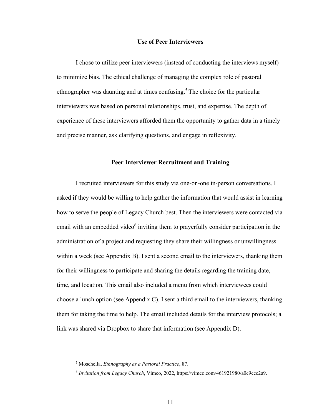#### **Use of Peer Interviewers**

I chose to utilize peer interviewers (instead of conducting the interviews myself) to minimize bias. The ethical challenge of managing the complex role of pastoral ethnographer was daunting and at times confusing. <sup>5</sup> The choice for the particular interviewers was based on personal relationships, trust, and expertise. The depth of experience of these interviewers afforded them the opportunity to gather data in a timely and precise manner, ask clarifying questions, and engage in reflexivity.

#### **Peer Interviewer Recruitment and Training**

I recruited interviewers for this study via one-on-one in-person conversations. I asked if they would be willing to help gather the information that would assist in learning how to serve the people of Legacy Church best. Then the interviewers were contacted via email with an embedded video<sup>6</sup> inviting them to prayerfully consider participation in the administration of a project and requesting they share their willingness or unwillingness within a week (see Appendix B). I sent a second email to the interviewers, thanking them for their willingness to participate and sharing the details regarding the training date, time, and location. This email also included a menu from which interviewees could choose a lunch option (see Appendix C). I sent a third email to the interviewers, thanking them for taking the time to help. The email included details for the interview protocols; a link was shared via Dropbox to share that information (see Appendix D).

<sup>5</sup> Moschella, *Ethnography as a Pastoral Practice*, 87.

<sup>6</sup> *Invitation from Legacy Church*, Vimeo, 2022, https://vimeo.com/461921980/a0c9ecc2a9.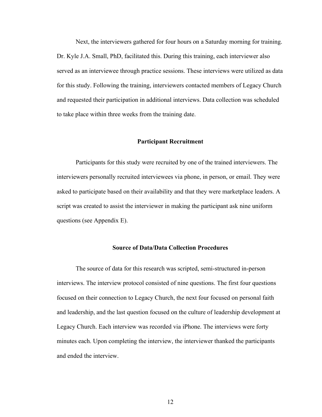Next, the interviewers gathered for four hours on a Saturday morning for training. Dr. Kyle J.A. Small, PhD, facilitated this. During this training, each interviewer also served as an interviewee through practice sessions. These interviews were utilized as data for this study. Following the training, interviewers contacted members of Legacy Church and requested their participation in additional interviews. Data collection was scheduled to take place within three weeks from the training date.

#### **Participant Recruitment**

Participants for this study were recruited by one of the trained interviewers. The interviewers personally recruited interviewees via phone, in person, or email. They were asked to participate based on their availability and that they were marketplace leaders. A script was created to assist the interviewer in making the participant ask nine uniform questions (see Appendix E).

#### **Source of Data/Data Collection Procedures**

The source of data for this research was scripted, semi-structured in-person interviews. The interview protocol consisted of nine questions. The first four questions focused on their connection to Legacy Church, the next four focused on personal faith and leadership, and the last question focused on the culture of leadership development at Legacy Church. Each interview was recorded via iPhone. The interviews were forty minutes each. Upon completing the interview, the interviewer thanked the participants and ended the interview.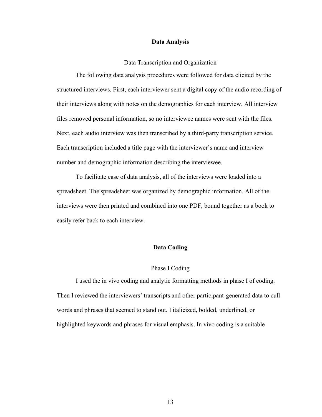#### **Data Analysis**

#### Data Transcription and Organization

The following data analysis procedures were followed for data elicited by the structured interviews. First, each interviewer sent a digital copy of the audio recording of their interviews along with notes on the demographics for each interview. All interview files removed personal information, so no interviewee names were sent with the files. Next, each audio interview was then transcribed by a third-party transcription service. Each transcription included a title page with the interviewer's name and interview number and demographic information describing the interviewee.

To facilitate ease of data analysis, all of the interviews were loaded into a spreadsheet. The spreadsheet was organized by demographic information. All of the interviews were then printed and combined into one PDF, bound together as a book to easily refer back to each interview.

#### **Data Coding**

#### Phase I Coding

I used the in vivo coding and analytic formatting methods in phase I of coding. Then I reviewed the interviewers' transcripts and other participant-generated data to cull words and phrases that seemed to stand out. I italicized, bolded, underlined, or highlighted keywords and phrases for visual emphasis. In vivo coding is a suitable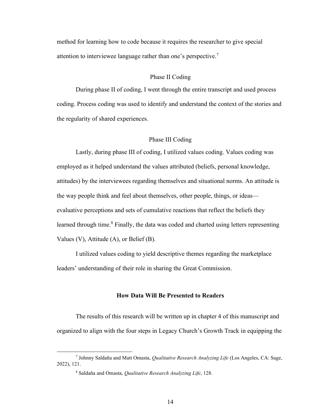method for learning how to code because it requires the researcher to give special attention to interviewee language rather than one's perspective.<sup>7</sup>

#### Phase II Coding

During phase II of coding, I went through the entire transcript and used process coding. Process coding was used to identify and understand the context of the stories and the regularity of shared experiences.

### Phase III Coding

Lastly, during phase III of coding, I utilized values coding. Values coding was employed as it helped understand the values attributed (beliefs, personal knowledge, attitudes) by the interviewees regarding themselves and situational norms. An attitude is the way people think and feel about themselves, other people, things, or ideas evaluative perceptions and sets of cumulative reactions that reflect the beliefs they learned through time.<sup>8</sup> Finally, the data was coded and charted using letters representing Values (V), Attitude (A), or Belief (B).

I utilized values coding to yield descriptive themes regarding the marketplace leaders' understanding of their role in sharing the Great Commission.

### **How Data Will Be Presented to Readers**

The results of this research will be written up in chapter 4 of this manuscript and organized to align with the four steps in Legacy Church's Growth Track in equipping the

<sup>7</sup> Johnny Saldaña and Matt Omasta, *Qualitative Research Analyzing Life* (Los Angeles, CA: Sage, 2022), 121.

<sup>8</sup> Saldaña and Omasta, *Qualitative Research Analyzing Life*, 128.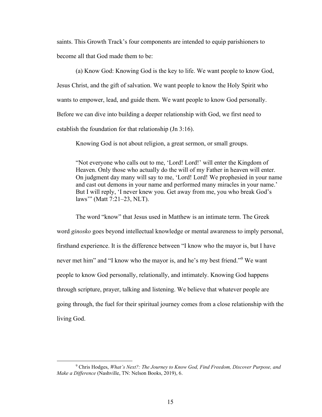saints. This Growth Track's four components are intended to equip parishioners to become all that God made them to be:

(a) Know God: Knowing God is the key to life. We want people to know God, Jesus Christ, and the gift of salvation. We want people to know the Holy Spirit who wants to empower, lead, and guide them. We want people to know God personally. Before we can dive into building a deeper relationship with God, we first need to establish the foundation for that relationship (Jn 3:16).

Knowing God is not about religion, a great sermon, or small groups.

"Not everyone who calls out to me, 'Lord! Lord!' will enter the Kingdom of Heaven. Only those who actually do the will of my Father in heaven will enter. On judgment day many will say to me, 'Lord! Lord! We prophesied in your name and cast out demons in your name and performed many miracles in your name.' But I will reply, 'I never knew you. Get away from me, you who break God's laws'" (Matt 7:21–23, NLT).

The word "know" that Jesus used in Matthew is an intimate term. The Greek word *ginosko* goes beyond intellectual knowledge or mental awareness to imply personal, firsthand experience. It is the difference between "I know who the mayor is, but I have never met him" and "I know who the mayor is, and he's my best friend."<sup>9</sup> We want people to know God personally, relationally, and intimately. Knowing God happens through scripture, prayer, talking and listening. We believe that whatever people are going through, the fuel for their spiritual journey comes from a close relationship with the living God.

<sup>9</sup> Chris Hodges, *What's Next?: The Journey to Know God, Find Freedom, Discover Purpose, and Make a Difference* (Nashville, TN: Nelson Books, 2019), 6.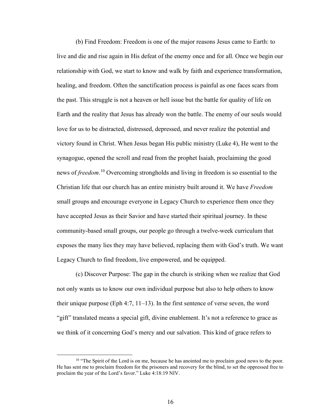(b) Find Freedom: Freedom is one of the major reasons Jesus came to Earth: to live and die and rise again in His defeat of the enemy once and for all. Once we begin our relationship with God, we start to know and walk by faith and experience transformation, healing, and freedom. Often the sanctification process is painful as one faces scars from the past. This struggle is not a heaven or hell issue but the battle for quality of life on Earth and the reality that Jesus has already won the battle. The enemy of our souls would love for us to be distracted, distressed, depressed, and never realize the potential and victory found in Christ. When Jesus began His public ministry (Luke 4), He went to the synagogue, opened the scroll and read from the prophet Isaiah, proclaiming the good news of *freedom*. <sup>10</sup> Overcoming strongholds and living in freedom is so essential to the Christian life that our church has an entire ministry built around it. We have *Freedom* small groups and encourage everyone in Legacy Church to experience them once they have accepted Jesus as their Savior and have started their spiritual journey. In these community-based small groups, our people go through a twelve-week curriculum that exposes the many lies they may have believed, replacing them with God's truth. We want Legacy Church to find freedom, live empowered, and be equipped.

(c) Discover Purpose: The gap in the church is striking when we realize that God not only wants us to know our own individual purpose but also to help others to know their unique purpose (Eph 4:7, 11–13). In the first sentence of verse seven, the word "gift" translated means a special gift, divine enablement. It's not a reference to grace as we think of it concerning God's mercy and our salvation. This kind of grace refers to

<sup>&</sup>lt;sup>10</sup> "The Spirit of the Lord is on me, because he has anointed me to proclaim good news to the poor. He has sent me to proclaim freedom for the prisoners and recovery for the blind, to set the oppressed free to proclaim the year of the Lord's favor." Luke 4:18:19 NIV.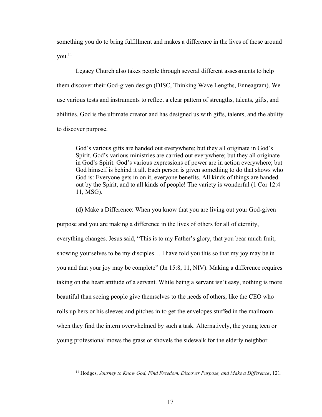something you do to bring fulfillment and makes a difference in the lives of those around  $you.<sup>11</sup>$ 

Legacy Church also takes people through several different assessments to help them discover their God-given design (DISC, Thinking Wave Lengths, Enneagram). We use various tests and instruments to reflect a clear pattern of strengths, talents, gifts, and abilities. God is the ultimate creator and has designed us with gifts, talents, and the ability to discover purpose.

God's various gifts are handed out everywhere; but they all originate in God's Spirit. God's various ministries are carried out everywhere; but they all originate in God's Spirit. God's various expressions of power are in action everywhere; but God himself is behind it all. Each person is given something to do that shows who God is: Everyone gets in on it, everyone benefits. All kinds of things are handed out by the Spirit, and to all kinds of people! The variety is wonderful (1 Cor 12:4– 11, MSG).

(d) Make a Difference: When you know that you are living out your God-given purpose and you are making a difference in the lives of others for all of eternity, everything changes. Jesus said, "This is to my Father's glory, that you bear much fruit, showing yourselves to be my disciples… I have told you this so that my joy may be in you and that your joy may be complete" (Jn 15:8, 11, NIV). Making a difference requires taking on the heart attitude of a servant. While being a servant isn't easy, nothing is more beautiful than seeing people give themselves to the needs of others, like the CEO who rolls up hers or his sleeves and pitches in to get the envelopes stuffed in the mailroom when they find the intern overwhelmed by such a task. Alternatively, the young teen or young professional mows the grass or shovels the sidewalk for the elderly neighbor

<sup>11</sup> Hodges, *Journey to Know God, Find Freedom, Discover Purpose, and Make a Difference*, 121.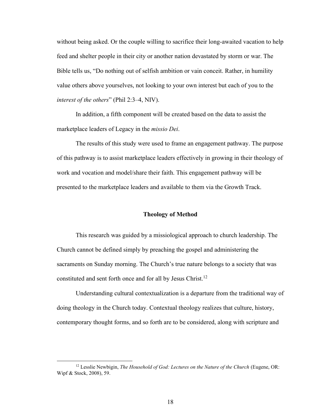without being asked. Or the couple willing to sacrifice their long-awaited vacation to help feed and shelter people in their city or another nation devastated by storm or war. The Bible tells us, "Do nothing out of selfish ambition or vain conceit. Rather, in humility value others above yourselves, not looking to your own interest but each of you to the *interest of the others*" (Phil 2:3–4, NIV).

In addition, a fifth component will be created based on the data to assist the marketplace leaders of Legacy in the *missio Dei*.

The results of this study were used to frame an engagement pathway. The purpose of this pathway is to assist marketplace leaders effectively in growing in their theology of work and vocation and model/share their faith. This engagement pathway will be presented to the marketplace leaders and available to them via the Growth Track.

#### **Theology of Method**

This research was guided by a missiological approach to church leadership. The Church cannot be defined simply by preaching the gospel and administering the sacraments on Sunday morning. The Church's true nature belongs to a society that was constituted and sent forth once and for all by Jesus Christ.<sup>12</sup>

Understanding cultural contextualization is a departure from the traditional way of doing theology in the Church today. Contextual theology realizes that culture, history, contemporary thought forms, and so forth are to be considered, along with scripture and

<sup>12</sup> Lesslie Newbigin, *The Household of God: Lectures on the Nature of the Church* (Eugene, OR: Wipf & Stock, 2008), 59.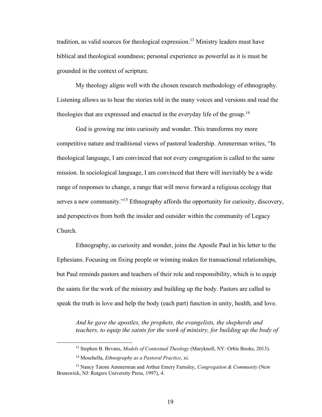tradition, as valid sources for theological expression.<sup>13</sup> Ministry leaders must have biblical and theological soundness; personal experience as powerful as it is must be grounded in the context of scripture.

My theology aligns well with the chosen research methodology of ethnography. Listening allows us to hear the stories told in the many voices and versions and read the theologies that are expressed and enacted in the everyday life of the group.<sup>14</sup>

God is growing me into curiosity and wonder. This transforms my more competitive nature and traditional views of pastoral leadership. Ammerman writes, "In theological language, I am convinced that not every congregation is called to the same mission. In sociological language, I am convinced that there will inevitably be a wide range of responses to change, a range that will move forward a religious ecology that serves a new community."<sup>15</sup> Ethnography affords the opportunity for curiosity, discovery, and perspectives from both the insider and outsider within the community of Legacy Church.

Ethnography, as curiosity and wonder, joins the Apostle Paul in his letter to the Ephesians. Focusing on fixing people or winning makes for transactional relationships, but Paul reminds pastors and teachers of their role and responsibility, which is to equip the saints for the work of the ministry and building up the body. Pastors are called to speak the truth in love and help the body (each part) function in unity, health, and love.

*And he gave the apostles, the prophets, the evangelists, the shepherds and teachers, to equip the saints for the work of ministry, for building up the body of* 

<sup>13</sup> Stephen B. Bevans, *Models of Contextual Theology* (Maryknoll, NY: Orbis Books, 2013).

<sup>14</sup> Moschella, *Ethnography as a Pastoral Practice*, xi.

<sup>15</sup> Nancy Tatom Ammerman and Arthur Emery Farnsley, *Congregation & Community* (New Brunswick, NJ: Rutgers University Press, 1997), 4.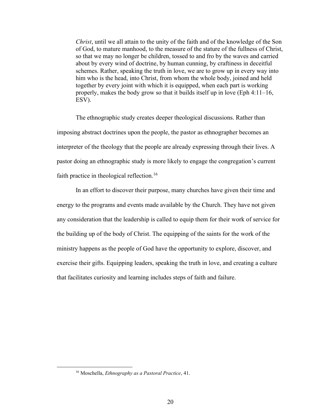*Christ*, until we all attain to the unity of the faith and of the knowledge of the Son of God, to mature manhood, to the measure of the stature of the fullness of Christ, so that we may no longer be children, tossed to and fro by the waves and carried about by every wind of doctrine, by human cunning, by craftiness in deceitful schemes. Rather, speaking the truth in love, we are to grow up in every way into him who is the head, into Christ, from whom the whole body, joined and held together by every joint with which it is equipped, when each part is working properly, makes the body grow so that it builds itself up in love (Eph 4:11–16, ESV).

The ethnographic study creates deeper theological discussions. Rather than imposing abstract doctrines upon the people, the pastor as ethnographer becomes an interpreter of the theology that the people are already expressing through their lives. A pastor doing an ethnographic study is more likely to engage the congregation's current faith practice in theological reflection.<sup>16</sup>

In an effort to discover their purpose, many churches have given their time and energy to the programs and events made available by the Church. They have not given any consideration that the leadership is called to equip them for their work of service for the building up of the body of Christ. The equipping of the saints for the work of the ministry happens as the people of God have the opportunity to explore, discover, and exercise their gifts. Equipping leaders, speaking the truth in love, and creating a culture that facilitates curiosity and learning includes steps of faith and failure.

<sup>16</sup> Moschella, *Ethnography as a Pastoral Practice*, 41.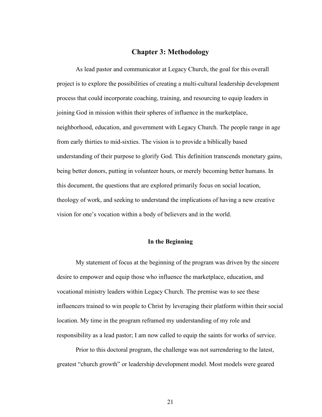## **Chapter 3: Methodology**

As lead pastor and communicator at Legacy Church, the goal for this overall project is to explore the possibilities of creating a multi-cultural leadership development process that could incorporate coaching, training, and resourcing to equip leaders in joining God in mission within their spheres of influence in the marketplace, neighborhood, education, and government with Legacy Church. The people range in age from early thirties to mid-sixties. The vision is to provide a biblically based understanding of their purpose to glorify God. This definition transcends monetary gains, being better donors, putting in volunteer hours, or merely becoming better humans. In this document, the questions that are explored primarily focus on social location, theology of work, and seeking to understand the implications of having a new creative vision for one's vocation within a body of believers and in the world.

#### **In the Beginning**

My statement of focus at the beginning of the program was driven by the sincere desire to empower and equip those who influence the marketplace, education, and vocational ministry leaders within Legacy Church. The premise was to see these influencers trained to win people to Christ by leveraging their platform within their social location. My time in the program reframed my understanding of my role and responsibility as a lead pastor; I am now called to equip the saints for works of service.

Prior to this doctoral program, the challenge was not surrendering to the latest, greatest "church growth" or leadership development model. Most models were geared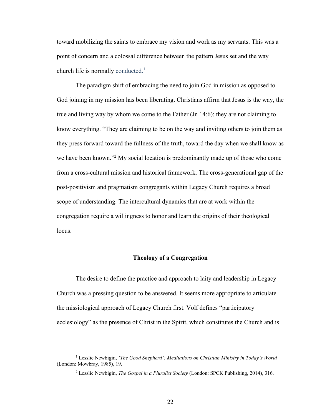toward mobilizing the saints to embrace my vision and work as my servants. This was a point of concern and a colossal difference between the pattern Jesus set and the way church life is normally conducted.<sup>1</sup>

The paradigm shift of embracing the need to join God in mission as opposed to God joining in my mission has been liberating. Christians affirm that Jesus is the way, the true and living way by whom we come to the Father (Jn 14:6); they are not claiming to know everything. "They are claiming to be on the way and inviting others to join them as they press forward toward the fullness of the truth, toward the day when we shall know as we have been known."<sup>2</sup> My social location is predominantly made up of those who come from a cross-cultural mission and historical framework. The cross-generational gap of the post-positivism and pragmatism congregants within Legacy Church requires a broad scope of understanding. The intercultural dynamics that are at work within the congregation require a willingness to honor and learn the origins of their theological locus.

### **Theology of a Congregation**

The desire to define the practice and approach to laity and leadership in Legacy Church was a pressing question to be answered. It seems more appropriate to articulate the missiological approach of Legacy Church first. Volf defines "participatory ecclesiology" as the presence of Christ in the Spirit, which constitutes the Church and is

<sup>1</sup> Lesslie Newbigin, *'The Good Shepherd': Meditations on Christian Ministry in Today's World* (London: Mowbray, 1985), 19.

<sup>2</sup> Lesslie Newbigin, *The Gospel in a Pluralist Society* (London: SPCK Publishing, 2014), 316.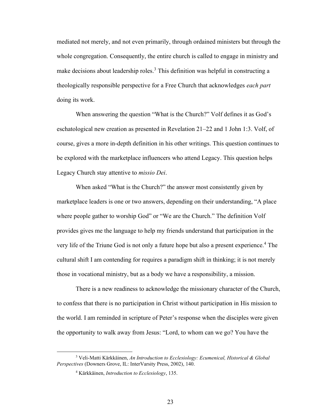mediated not merely, and not even primarily, through ordained ministers but through the whole congregation. Consequently, the entire church is called to engage in ministry and make decisions about leadership roles.<sup>3</sup> This definition was helpful in constructing a theologically responsible perspective for a Free Church that acknowledges *each part* doing its work.

When answering the question "What is the Church?" Volf defines it as God's eschatological new creation as presented in Revelation 21–22 and 1 John 1:3. Volf, of course, gives a more in-depth definition in his other writings. This question continues to be explored with the marketplace influencers who attend Legacy. This question helps Legacy Church stay attentive to *missio Dei*.

When asked "What is the Church?" the answer most consistently given by marketplace leaders is one or two answers, depending on their understanding, "A place where people gather to worship God" or "We are the Church." The definition Volf provides gives me the language to help my friends understand that participation in the very life of the Triune God is not only a future hope but also a present experience.<sup>4</sup> The cultural shift I am contending for requires a paradigm shift in thinking; it is not merely those in vocational ministry, but as a body we have a responsibility, a mission.

There is a new readiness to acknowledge the missionary character of the Church, to confess that there is no participation in Christ without participation in His mission to the world. I am reminded in scripture of Peter's response when the disciples were given the opportunity to walk away from Jesus: "Lord, to whom can we go? You have the

<sup>3</sup> Veli-Matti Kärkkäinen, *An Introduction to Ecclesiology: Ecumenical, Historical & Global Perspectives* (Downers Grove, IL: InterVarsity Press, 2002), 140.

<sup>4</sup> Kärkkäinen, *Introduction to Ecclesiology*, 135.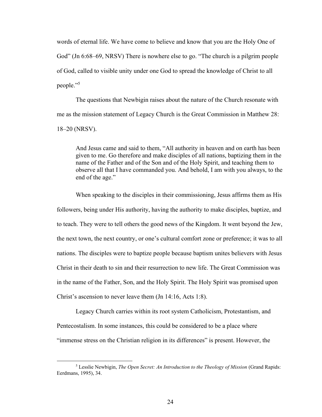words of eternal life. We have come to believe and know that you are the Holy One of God" (Jn 6:68–69, NRSV) There is nowhere else to go. "The church is a pilgrim people of God, called to visible unity under one God to spread the knowledge of Christ to all people."<sup>5</sup>

The questions that Newbigin raises about the nature of the Church resonate with me as the mission statement of Legacy Church is the Great Commission in Matthew 28: 18–20 (NRSV).

And Jesus came and said to them, "All authority in heaven and on earth has been given to me. Go therefore and make disciples of all nations, baptizing them in the name of the Father and of the Son and of the Holy Spirit, and teaching them to observe all that I have commanded you. And behold, I am with you always, to the end of the age."

When speaking to the disciples in their commissioning, Jesus affirms them as His followers, being under His authority, having the authority to make disciples, baptize, and to teach. They were to tell others the good news of the Kingdom. It went beyond the Jew, the next town, the next country, or one's cultural comfort zone or preference; it was to all nations. The disciples were to baptize people because baptism unites believers with Jesus Christ in their death to sin and their resurrection to new life. The Great Commission was in the name of the Father, Son, and the Holy Spirit. The Holy Spirit was promised upon Christ's ascension to never leave them (Jn 14:16, Acts 1:8).

Legacy Church carries within its root system Catholicism, Protestantism, and Pentecostalism. In some instances, this could be considered to be a place where "immense stress on the Christian religion in its differences" is present. However, the

<sup>5</sup> Lesslie Newbigin, *The Open Secret: An Introduction to the Theology of Mission* (Grand Rapids: Eerdmans, 1995), 34.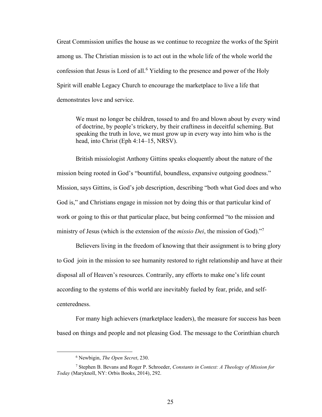Great Commission unifies the house as we continue to recognize the works of the Spirit among us. The Christian mission is to act out in the whole life of the whole world the confession that Jesus is Lord of all.<sup>6</sup> Yielding to the presence and power of the Holy Spirit will enable Legacy Church to encourage the marketplace to live a life that demonstrates love and service.

We must no longer be children, tossed to and fro and blown about by every wind of doctrine, by people's trickery, by their craftiness in deceitful scheming. But speaking the truth in love, we must grow up in every way into him who is the head, into Christ (Eph 4:14–15, NRSV).

British missiologist Anthony Gittins speaks eloquently about the nature of the mission being rooted in God's "bountiful, boundless, expansive outgoing goodness." Mission, says Gittins, is God's job description, describing "both what God does and who God is," and Christians engage in mission not by doing this or that particular kind of work or going to this or that particular place, but being conformed "to the mission and ministry of Jesus (which is the extension of the *missio Dei*, the mission of God)."<sup>7</sup>

Believers living in the freedom of knowing that their assignment is to bring glory to God join in the mission to see humanity restored to right relationship and have at their disposal all of Heaven's resources. Contrarily, any efforts to make one's life count according to the systems of this world are inevitably fueled by fear, pride, and selfcenteredness.

For many high achievers (marketplace leaders), the measure for success has been based on things and people and not pleasing God. The message to the Corinthian church

<sup>6</sup> Newbigin, *The Open Secret*, 230.

<sup>7</sup> Stephen B. Bevans and Roger P. Schroeder, *Constants in Context: A Theology of Mission for Today* (Maryknoll, NY: Orbis Books, 2014), 292.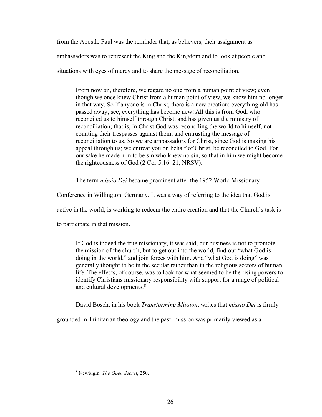from the Apostle Paul was the reminder that, as believers, their assignment as ambassadors was to represent the King and the Kingdom and to look at people and situations with eyes of mercy and to share the message of reconciliation.

From now on, therefore, we regard no one from a human point of view; even though we once knew Christ from a human point of view, we know him no longer in that way. So if anyone is in Christ, there is a new creation: everything old has passed away; see, everything has become new! All this is from God, who reconciled us to himself through Christ, and has given us the ministry of reconciliation; that is, in Christ God was reconciling the world to himself, not counting their trespasses against them, and entrusting the message of reconciliation to us. So we are ambassadors for Christ, since God is making his appeal through us; we entreat you on behalf of Christ, be reconciled to God. For our sake he made him to be sin who knew no sin, so that in him we might become the righteousness of God (2 Cor 5:16–21, NRSV).

The term *missio Dei* became prominent after the 1952 World Missionary

Conference in Willington, Germany. It was a way of referring to the idea that God is

active in the world, is working to redeem the entire creation and that the Church's task is

to participate in that mission.

If God is indeed the true missionary, it was said, our business is not to promote the mission of the church, but to get out into the world, find out "what God is doing in the world," and join forces with him. And "what God is doing" was generally thought to be in the secular rather than in the religious sectors of human life. The effects, of course, was to look for what seemed to be the rising powers to identify Christians missionary responsibility with support for a range of political and cultural developments.<sup>8</sup>

David Bosch, in his book *Transforming Mission*, writes that *missio Dei* is firmly

grounded in Trinitarian theology and the past; mission was primarily viewed as a

<sup>8</sup> Newbigin, *The Open Secret*, 250.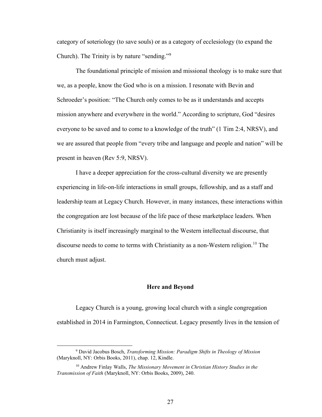category of soteriology (to save souls) or as a category of ecclesiology (to expand the Church). The Trinity is by nature "sending."<sup>9</sup>

The foundational principle of mission and missional theology is to make sure that we, as a people, know the God who is on a mission. I resonate with Bevin and Schroeder's position: "The Church only comes to be as it understands and accepts mission anywhere and everywhere in the world." According to scripture, God "desires everyone to be saved and to come to a knowledge of the truth" (1 Tim 2:4, NRSV), and we are assured that people from "every tribe and language and people and nation" will be present in heaven (Rev 5:9, NRSV).

I have a deeper appreciation for the cross-cultural diversity we are presently experiencing in life-on-life interactions in small groups, fellowship, and as a staff and leadership team at Legacy Church. However, in many instances, these interactions within the congregation are lost because of the life pace of these marketplace leaders. When Christianity is itself increasingly marginal to the Western intellectual discourse, that discourse needs to come to terms with Christianity as a non-Western religion.<sup>10</sup> The church must adjust.

#### **Here and Beyond**

Legacy Church is a young, growing local church with a single congregation established in 2014 in Farmington, Connecticut. Legacy presently lives in the tension of

<sup>9</sup> David Jacobus Bosch, *Transforming Mission: Paradigm Shifts in Theology of Mission* (Maryknoll, NY: Orbis Books, 2011), chap. 12, Kindle.

<sup>10</sup> Andrew Finlay Walls, *The Missionary Movement in Christian History Studies in the Transmission of Faith* (Maryknoll, NY: Orbis Books, 2009), 240.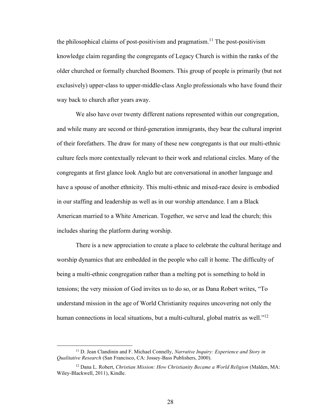the philosophical claims of post-positivism and pragmatism.<sup>11</sup> The post-positivism knowledge claim regarding the congregants of Legacy Church is within the ranks of the older churched or formally churched Boomers. This group of people is primarily (but not exclusively) upper-class to upper-middle-class Anglo professionals who have found their way back to church after years away.

We also have over twenty different nations represented within our congregation, and while many are second or third-generation immigrants, they bear the cultural imprint of their forefathers. The draw for many of these new congregants is that our multi-ethnic culture feels more contextually relevant to their work and relational circles. Many of the congregants at first glance look Anglo but are conversational in another language and have a spouse of another ethnicity. This multi-ethnic and mixed-race desire is embodied in our staffing and leadership as well as in our worship attendance. I am a Black American married to a White American. Together, we serve and lead the church; this includes sharing the platform during worship.

There is a new appreciation to create a place to celebrate the cultural heritage and worship dynamics that are embedded in the people who call it home. The difficulty of being a multi-ethnic congregation rather than a melting pot is something to hold in tensions; the very mission of God invites us to do so, or as Dana Robert writes, "To understand mission in the age of World Christianity requires uncovering not only the human connections in local situations, but a multi-cultural, global matrix as well." $12$ 

<sup>11</sup> D. Jean Clandinin and F. Michael Connelly, *Narrative Inquiry: Experience and Story in Qualitative Research* (San Francisco, CA: Jossey-Bass Publishers, 2000).

<sup>12</sup> Dana L. Robert, *Christian Mission: How Christianity Became a World Religion* (Malden, MA: Wiley-Blackwell, 2011), Kindle.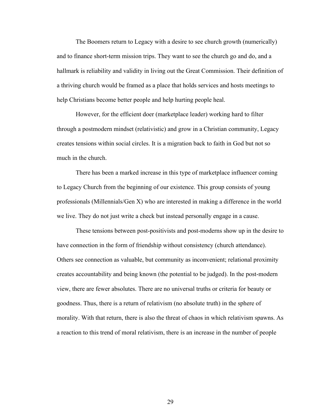The Boomers return to Legacy with a desire to see church growth (numerically) and to finance short-term mission trips. They want to see the church go and do, and a hallmark is reliability and validity in living out the Great Commission. Their definition of a thriving church would be framed as a place that holds services and hosts meetings to help Christians become better people and help hurting people heal.

However, for the efficient doer (marketplace leader) working hard to filter through a postmodern mindset (relativistic) and grow in a Christian community, Legacy creates tensions within social circles. It is a migration back to faith in God but not so much in the church.

There has been a marked increase in this type of marketplace influencer coming to Legacy Church from the beginning of our existence. This group consists of young professionals (Millennials/Gen X) who are interested in making a difference in the world we live. They do not just write a check but instead personally engage in a cause.

These tensions between post-positivists and post-moderns show up in the desire to have connection in the form of friendship without consistency (church attendance). Others see connection as valuable, but community as inconvenient; relational proximity creates accountability and being known (the potential to be judged). In the post-modern view, there are fewer absolutes. There are no universal truths or criteria for beauty or goodness. Thus, there is a return of relativism (no absolute truth) in the sphere of morality. With that return, there is also the threat of chaos in which relativism spawns. As a reaction to this trend of moral relativism, there is an increase in the number of people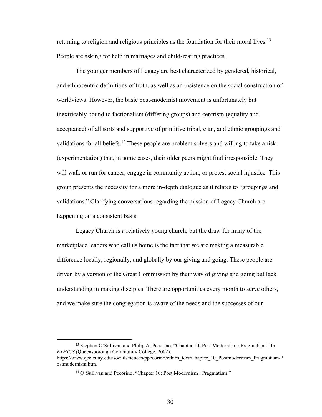returning to religion and religious principles as the foundation for their moral lives.<sup>13</sup> People are asking for help in marriages and child-rearing practices.

The younger members of Legacy are best characterized by gendered, historical, and ethnocentric definitions of truth, as well as an insistence on the social construction of worldviews. However, the basic post-modernist movement is unfortunately but inextricably bound to factionalism (differing groups) and centrism (equality and acceptance) of all sorts and supportive of primitive tribal, clan, and ethnic groupings and validations for all beliefs.<sup>14</sup> These people are problem solvers and willing to take a risk (experimentation) that, in some cases, their older peers might find irresponsible. They will walk or run for cancer, engage in community action, or protest social injustice. This group presents the necessity for a more in-depth dialogue as it relates to "groupings and validations." Clarifying conversations regarding the mission of Legacy Church are happening on a consistent basis.

Legacy Church is a relatively young church, but the draw for many of the marketplace leaders who call us home is the fact that we are making a measurable difference locally, regionally, and globally by our giving and going. These people are driven by a version of the Great Commission by their way of giving and going but lack understanding in making disciples. There are opportunities every month to serve others, and we make sure the congregation is aware of the needs and the successes of our

<sup>&</sup>lt;sup>13</sup> Stephen O'Sullivan and Philip A. Pecorino, "Chapter 10: Post Modernism : Pragmatism." In *ETHICS* (Queensborough Community College, 2002),

https://www.qcc.cuny.edu/socialsciences/ppecorino/ethics\_text/Chapter\_10\_Postmodernism\_Pragmatism/P ostmodernism.htm.

<sup>&</sup>lt;sup>14</sup> O'Sullivan and Pecorino, "Chapter 10: Post Modernism : Pragmatism."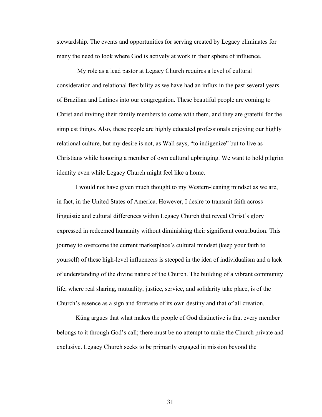stewardship. The events and opportunities for serving created by Legacy eliminates for many the need to look where God is actively at work in their sphere of influence.

My role as a lead pastor at Legacy Church requires a level of cultural consideration and relational flexibility as we have had an influx in the past several years of Brazilian and Latinos into our congregation. These beautiful people are coming to Christ and inviting their family members to come with them, and they are grateful for the simplest things. Also, these people are highly educated professionals enjoying our highly relational culture, but my desire is not, as Wall says, "to indigenize" but to live as Christians while honoring a member of own cultural upbringing. We want to hold pilgrim identity even while Legacy Church might feel like a home.

I would not have given much thought to my Western-leaning mindset as we are, in fact, in the United States of America. However, I desire to transmit faith across linguistic and cultural differences within Legacy Church that reveal Christ's glory expressed in redeemed humanity without diminishing their significant contribution. This journey to overcome the current marketplace's cultural mindset (keep your faith to yourself) of these high-level influencers is steeped in the idea of individualism and a lack of understanding of the divine nature of the Church. The building of a vibrant community life, where real sharing, mutuality, justice, service, and solidarity take place, is of the Church's essence as a sign and foretaste of its own destiny and that of all creation.

Küng argues that what makes the people of God distinctive is that every member belongs to it through God's call; there must be no attempt to make the Church private and exclusive. Legacy Church seeks to be primarily engaged in mission beyond the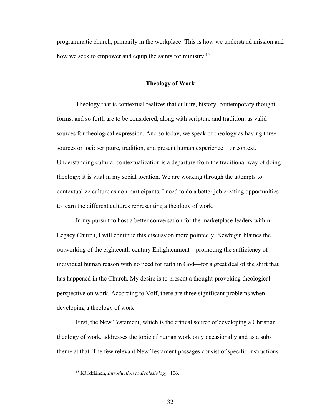programmatic church, primarily in the workplace. This is how we understand mission and how we seek to empower and equip the saints for ministry.<sup>15</sup>

# **Theology of Work**

Theology that is contextual realizes that culture, history, contemporary thought forms, and so forth are to be considered, along with scripture and tradition, as valid sources for theological expression. And so today, we speak of theology as having three sources or loci: scripture, tradition, and present human experience—or context. Understanding cultural contextualization is a departure from the traditional way of doing theology; it is vital in my social location. We are working through the attempts to contextualize culture as non-participants. I need to do a better job creating opportunities to learn the different cultures representing a theology of work.

In my pursuit to host a better conversation for the marketplace leaders within Legacy Church, I will continue this discussion more pointedly. Newbigin blames the outworking of the eighteenth-century Enlightenment—promoting the sufficiency of individual human reason with no need for faith in God—for a great deal of the shift that has happened in the Church. My desire is to present a thought-provoking theological perspective on work. According to Volf, there are three significant problems when developing a theology of work.

First, the New Testament, which is the critical source of developing a Christian theology of work, addresses the topic of human work only occasionally and as a subtheme at that. The few relevant New Testament passages consist of specific instructions

<sup>15</sup> Kärkkäinen, *Introduction to Ecclesiology*, 106.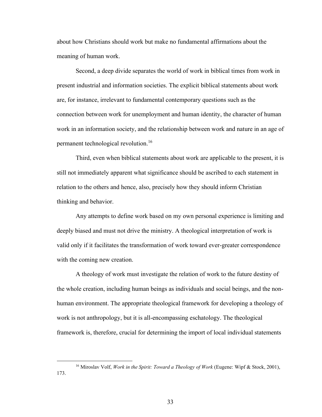about how Christians should work but make no fundamental affirmations about the meaning of human work.

Second, a deep divide separates the world of work in biblical times from work in present industrial and information societies. The explicit biblical statements about work are, for instance, irrelevant to fundamental contemporary questions such as the connection between work for unemployment and human identity, the character of human work in an information society, and the relationship between work and nature in an age of permanent technological revolution.<sup>16</sup>

Third, even when biblical statements about work are applicable to the present, it is still not immediately apparent what significance should be ascribed to each statement in relation to the others and hence, also, precisely how they should inform Christian thinking and behavior.

Any attempts to define work based on my own personal experience is limiting and deeply biased and must not drive the ministry. A theological interpretation of work is valid only if it facilitates the transformation of work toward ever-greater correspondence with the coming new creation.

A theology of work must investigate the relation of work to the future destiny of the whole creation, including human beings as individuals and social beings, and the nonhuman environment. The appropriate theological framework for developing a theology of work is not anthropology, but it is all-encompassing eschatology. The theological framework is, therefore, crucial for determining the import of local individual statements

<sup>16</sup> Miroslav Volf, *Work in the Spirit: Toward a Theology of Work* (Eugene: Wipf & Stock, 2001), 173.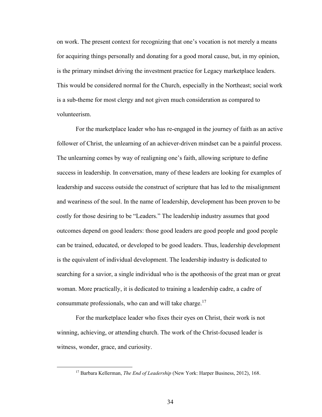on work. The present context for recognizing that one's vocation is not merely a means for acquiring things personally and donating for a good moral cause, but, in my opinion, is the primary mindset driving the investment practice for Legacy marketplace leaders. This would be considered normal for the Church, especially in the Northeast; social work is a sub-theme for most clergy and not given much consideration as compared to volunteerism.

For the marketplace leader who has re-engaged in the journey of faith as an active follower of Christ, the unlearning of an achiever-driven mindset can be a painful process. The unlearning comes by way of realigning one's faith, allowing scripture to define success in leadership. In conversation, many of these leaders are looking for examples of leadership and success outside the construct of scripture that has led to the misalignment and weariness of the soul. In the name of leadership, development has been proven to be costly for those desiring to be "Leaders." The leadership industry assumes that good outcomes depend on good leaders: those good leaders are good people and good people can be trained, educated, or developed to be good leaders. Thus, leadership development is the equivalent of individual development. The leadership industry is dedicated to searching for a savior, a single individual who is the apotheosis of the great man or great woman. More practically, it is dedicated to training a leadership cadre, a cadre of consummate professionals, who can and will take charge.<sup>17</sup>

For the marketplace leader who fixes their eyes on Christ, their work is not winning, achieving, or attending church. The work of the Christ-focused leader is witness, wonder, grace, and curiosity.

<sup>&</sup>lt;sup>17</sup> Barbara Kellerman, *The End of Leadership* (New York: Harper Business, 2012), 168.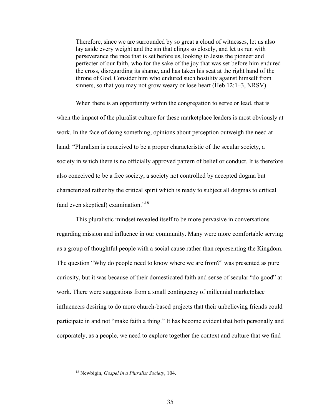Therefore, since we are surrounded by so great a cloud of witnesses, let us also lay aside every weight and the sin that clings so closely, and let us run with perseverance the race that is set before us, looking to Jesus the pioneer and perfecter of our faith, who for the sake of the joy that was set before him endured the cross, disregarding its shame, and has taken his seat at the right hand of the throne of God. Consider him who endured such hostility against himself from sinners, so that you may not grow weary or lose heart (Heb 12:1–3, NRSV).

When there is an opportunity within the congregation to serve or lead, that is when the impact of the pluralist culture for these marketplace leaders is most obviously at work. In the face of doing something, opinions about perception outweigh the need at hand: "Pluralism is conceived to be a proper characteristic of the secular society, a society in which there is no officially approved pattern of belief or conduct. It is therefore also conceived to be a free society, a society not controlled by accepted dogma but characterized rather by the critical spirit which is ready to subject all dogmas to critical (and even skeptical) examination."<sup>18</sup>

This pluralistic mindset revealed itself to be more pervasive in conversations regarding mission and influence in our community. Many were more comfortable serving as a group of thoughtful people with a social cause rather than representing the Kingdom. The question "Why do people need to know where we are from?" was presented as pure curiosity, but it was because of their domesticated faith and sense of secular "do good" at work. There were suggestions from a small contingency of millennial marketplace influencers desiring to do more church-based projects that their unbelieving friends could participate in and not "make faith a thing." It has become evident that both personally and corporately, as a people, we need to explore together the context and culture that we find

<sup>18</sup> Newbigin, *Gospel in a Pluralist Society*, 104.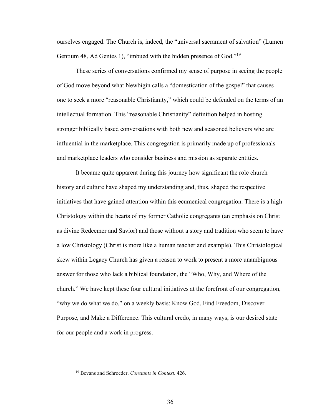ourselves engaged. The Church is, indeed, the "universal sacrament of salvation" (Lumen Gentium 48, Ad Gentes 1), "imbued with the hidden presence of God."<sup>19</sup>

These series of conversations confirmed my sense of purpose in seeing the people of God move beyond what Newbigin calls a "domestication of the gospel" that causes one to seek a more "reasonable Christianity," which could be defended on the terms of an intellectual formation. This "reasonable Christianity" definition helped in hosting stronger biblically based conversations with both new and seasoned believers who are influential in the marketplace. This congregation is primarily made up of professionals and marketplace leaders who consider business and mission as separate entities.

It became quite apparent during this journey how significant the role church history and culture have shaped my understanding and, thus, shaped the respective initiatives that have gained attention within this ecumenical congregation. There is a high Christology within the hearts of my former Catholic congregants (an emphasis on Christ as divine Redeemer and Savior) and those without a story and tradition who seem to have a low Christology (Christ is more like a human teacher and example). This Christological skew within Legacy Church has given a reason to work to present a more unambiguous answer for those who lack a biblical foundation, the "Who, Why, and Where of the church." We have kept these four cultural initiatives at the forefront of our congregation, "why we do what we do," on a weekly basis: Know God, Find Freedom, Discover Purpose, and Make a Difference. This cultural credo, in many ways, is our desired state for our people and a work in progress.

<sup>19</sup> Bevans and Schroeder, *Constants in Context,* 426.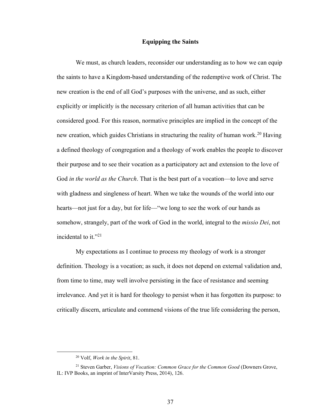#### **Equipping the Saints**

We must, as church leaders, reconsider our understanding as to how we can equip the saints to have a Kingdom-based understanding of the redemptive work of Christ. The new creation is the end of all God's purposes with the universe, and as such, either explicitly or implicitly is the necessary criterion of all human activities that can be considered good. For this reason, normative principles are implied in the concept of the new creation, which guides Christians in structuring the reality of human work.<sup>20</sup> Having a defined theology of congregation and a theology of work enables the people to discover their purpose and to see their vocation as a participatory act and extension to the love of God *in the world as the Church*. That is the best part of a vocation—to love and serve with gladness and singleness of heart. When we take the wounds of the world into our hearts—not just for a day, but for life—"we long to see the work of our hands as somehow, strangely, part of the work of God in the world, integral to the *missio Dei*, not incidental to it."<sup>21</sup>

My expectations as I continue to process my theology of work is a stronger definition. Theology is a vocation; as such, it does not depend on external validation and, from time to time, may well involve persisting in the face of resistance and seeming irrelevance. And yet it is hard for theology to persist when it has forgotten its purpose: to critically discern, articulate and commend visions of the true life considering the person,

<sup>20</sup> Volf, *Work in the Spirit*, 81.

<sup>21</sup> Steven Garber, *Visions of Vocation: Common Grace for the Common Good* (Downers Grove, IL: IVP Books, an imprint of InterVarsity Press, 2014), 126.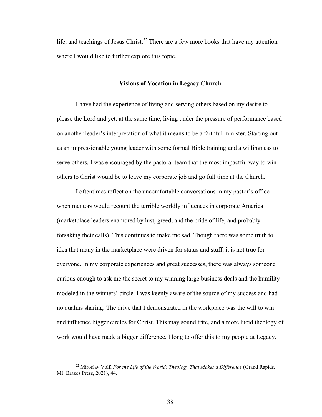life, and teachings of Jesus Christ.<sup>22</sup> There are a few more books that have my attention where I would like to further explore this topic.

# **Visions of Vocation in Legacy Church**

I have had the experience of living and serving others based on my desire to please the Lord and yet, at the same time, living under the pressure of performance based on another leader's interpretation of what it means to be a faithful minister. Starting out as an impressionable young leader with some formal Bible training and a willingness to serve others, I was encouraged by the pastoral team that the most impactful way to win others to Christ would be to leave my corporate job and go full time at the Church.

I oftentimes reflect on the uncomfortable conversations in my pastor's office when mentors would recount the terrible worldly influences in corporate America (marketplace leaders enamored by lust, greed, and the pride of life, and probably forsaking their calls). This continues to make me sad. Though there was some truth to idea that many in the marketplace were driven for status and stuff, it is not true for everyone. In my corporate experiences and great successes, there was always someone curious enough to ask me the secret to my winning large business deals and the humility modeled in the winners' circle. I was keenly aware of the source of my success and had no qualms sharing. The drive that I demonstrated in the workplace was the will to win and influence bigger circles for Christ. This may sound trite, and a more lucid theology of work would have made a bigger difference. I long to offer this to my people at Legacy.

<sup>22</sup> Miroslav Volf, *For the Life of the World: Theology That Makes a Difference* (Grand Rapids, MI: Brazos Press, 2021), 44.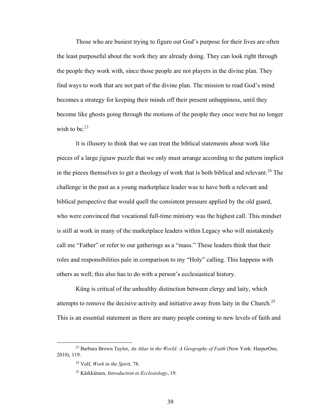Those who are busiest trying to figure out God's purpose for their lives are often the least purposeful about the work they are already doing. They can look right through the people they work with, since those people are not players in the divine plan. They find ways to work that are not part of the divine plan. The mission to read God's mind becomes a strategy for keeping their minds off their present unhappiness, until they become like ghosts going through the motions of the people they once were but no longer wish to be. $23$ 

It is illusory to think that we can treat the biblical statements about work like pieces of a large jigsaw puzzle that we only must arrange according to the pattern implicit in the pieces themselves to get a theology of work that is both biblical and relevant.<sup>24</sup> The challenge in the past as a young marketplace leader was to have both a relevant and biblical perspective that would quell the consistent pressure applied by the old guard, who were convinced that vocational full-time ministry was the highest call. This mindset is still at work in many of the marketplace leaders within Legacy who will mistakenly call me "Father" or refer to our gatherings as a "mass." These leaders think that their roles and responsibilities pale in comparison to my "Holy" calling. This happens with others as well; this also has to do with a person's ecclesiastical history.

Küng is critical of the unhealthy distinction between clergy and laity, which attempts to remove the decisive activity and initiative away from laity in the Church.<sup>25</sup> This is an essential statement as there are many people coming to new levels of faith and

<sup>23</sup> Barbara Brown Taylor, *An Altar in the World: A Geography of Faith* (New York: HarperOne, 2010), 119.

<sup>24</sup> Volf, *Work in the Spirit*, 78.

<sup>25</sup> Kärkkäinen, *Introduction to Ecclesiology*, 19.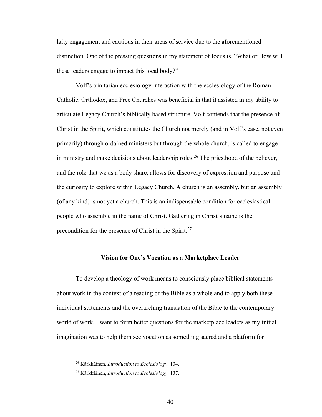laity engagement and cautious in their areas of service due to the aforementioned distinction. One of the pressing questions in my statement of focus is, "What or How will these leaders engage to impact this local body?"

Volf's trinitarian ecclesiology interaction with the ecclesiology of the Roman Catholic, Orthodox, and Free Churches was beneficial in that it assisted in my ability to articulate Legacy Church's biblically based structure. Volf contends that the presence of Christ in the Spirit, which constitutes the Church not merely (and in Volf's case, not even primarily) through ordained ministers but through the whole church, is called to engage in ministry and make decisions about leadership roles.<sup>26</sup> The priesthood of the believer, and the role that we as a body share, allows for discovery of expression and purpose and the curiosity to explore within Legacy Church. A church is an assembly, but an assembly (of any kind) is not yet a church. This is an indispensable condition for ecclesiastical people who assemble in the name of Christ. Gathering in Christ's name is the precondition for the presence of Christ in the Spirit.<sup>27</sup>

# **Vision for One's Vocation as a Marketplace Leader**

To develop a theology of work means to consciously place biblical statements about work in the context of a reading of the Bible as a whole and to apply both these individual statements and the overarching translation of the Bible to the contemporary world of work. I want to form better questions for the marketplace leaders as my initial imagination was to help them see vocation as something sacred and a platform for

<sup>26</sup> Kärkkäinen, *Introduction to Ecclesiology*, 134.

<sup>27</sup> Kärkkäinen, *Introduction to Ecclesiology*, 137.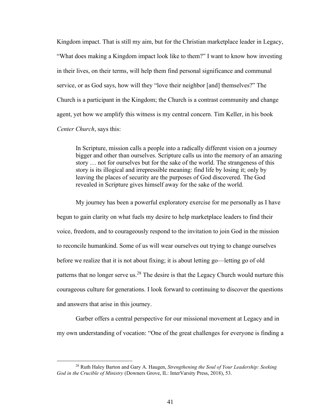Kingdom impact. That is still my aim, but for the Christian marketplace leader in Legacy, "What does making a Kingdom impact look like to them?" I want to know how investing in their lives, on their terms, will help them find personal significance and communal service, or as God says, how will they "love their neighbor [and] themselves?" The Church is a participant in the Kingdom; the Church is a contrast community and change agent, yet how we amplify this witness is my central concern. Tim Keller, in his book *Center Church*, says this:

In Scripture, mission calls a people into a radically different vision on a journey bigger and other than ourselves. Scripture calls us into the memory of an amazing story … not for ourselves but for the sake of the world. The strangeness of this story is its illogical and irrepressible meaning: find life by losing it; only by leaving the places of security are the purposes of God discovered. The God revealed in Scripture gives himself away for the sake of the world.

My journey has been a powerful exploratory exercise for me personally as I have begun to gain clarity on what fuels my desire to help marketplace leaders to find their voice, freedom, and to courageously respond to the invitation to join God in the mission to reconcile humankind. Some of us will wear ourselves out trying to change ourselves before we realize that it is not about fixing; it is about letting go—letting go of old patterns that no longer serve us.<sup>28</sup> The desire is that the Legacy Church would nurture this courageous culture for generations. I look forward to continuing to discover the questions and answers that arise in this journey.

Garber offers a central perspective for our missional movement at Legacy and in my own understanding of vocation: "One of the great challenges for everyone is finding a

<sup>28</sup> Ruth Haley Barton and Gary A. Haugen, *Strengthening the Soul of Your Leadership: Seeking God in the Crucible of Ministry* (Downers Grove, IL: InterVarsity Press, 2018), 53.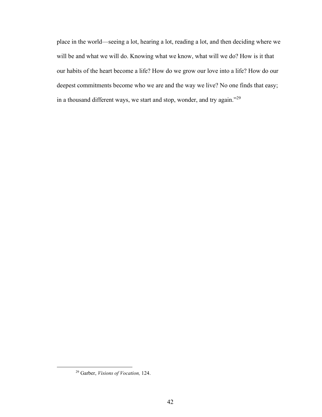place in the world—seeing a lot, hearing a lot, reading a lot, and then deciding where we will be and what we will do. Knowing what we know, what will we do? How is it that our habits of the heart become a life? How do we grow our love into a life? How do our deepest commitments become who we are and the way we live? No one finds that easy; in a thousand different ways, we start and stop, wonder, and try again."<sup>29</sup>

<sup>29</sup> Garber, *Visions of Vocation,* 124.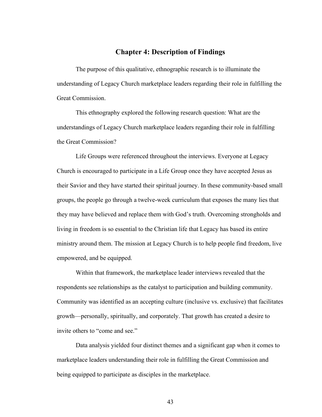# **Chapter 4: Description of Findings**

The purpose of this qualitative, ethnographic research is to illuminate the understanding of Legacy Church marketplace leaders regarding their role in fulfilling the Great Commission.

This ethnography explored the following research question: What are the understandings of Legacy Church marketplace leaders regarding their role in fulfilling the Great Commission?

Life Groups were referenced throughout the interviews. Everyone at Legacy Church is encouraged to participate in a Life Group once they have accepted Jesus as their Savior and they have started their spiritual journey. In these community-based small groups, the people go through a twelve-week curriculum that exposes the many lies that they may have believed and replace them with God's truth. Overcoming strongholds and living in freedom is so essential to the Christian life that Legacy has based its entire ministry around them. The mission at Legacy Church is to help people find freedom, live empowered, and be equipped.

Within that framework, the marketplace leader interviews revealed that the respondents see relationships as the catalyst to participation and building community. Community was identified as an accepting culture (inclusive vs. exclusive) that facilitates growth—personally, spiritually, and corporately. That growth has created a desire to invite others to "come and see."

Data analysis yielded four distinct themes and a significant gap when it comes to marketplace leaders understanding their role in fulfilling the Great Commission and being equipped to participate as disciples in the marketplace.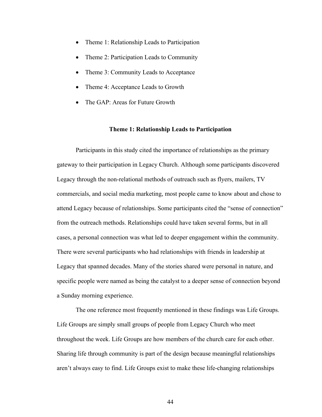- Theme 1: Relationship Leads to Participation
- Theme 2: Participation Leads to Community
- Theme 3: Community Leads to Acceptance
- Theme 4: Acceptance Leads to Growth
- The GAP: Areas for Future Growth

#### **Theme 1: Relationship Leads to Participation**

Participants in this study cited the importance of relationships as the primary gateway to their participation in Legacy Church. Although some participants discovered Legacy through the non-relational methods of outreach such as flyers, mailers, TV commercials, and social media marketing, most people came to know about and chose to attend Legacy because of relationships. Some participants cited the "sense of connection" from the outreach methods. Relationships could have taken several forms, but in all cases, a personal connection was what led to deeper engagement within the community. There were several participants who had relationships with friends in leadership at Legacy that spanned decades. Many of the stories shared were personal in nature, and specific people were named as being the catalyst to a deeper sense of connection beyond a Sunday morning experience.

The one reference most frequently mentioned in these findings was Life Groups. Life Groups are simply small groups of people from Legacy Church who meet throughout the week. Life Groups are how members of the church care for each other. Sharing life through community is part of the design because meaningful relationships aren't always easy to find. Life Groups exist to make these life-changing relationships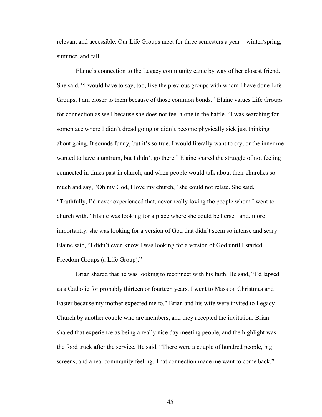relevant and accessible. Our Life Groups meet for three semesters a year—winter/spring, summer, and fall.

Elaine's connection to the Legacy community came by way of her closest friend. She said, "I would have to say, too, like the previous groups with whom I have done Life Groups, I am closer to them because of those common bonds." Elaine values Life Groups for connection as well because she does not feel alone in the battle. "I was searching for someplace where I didn't dread going or didn't become physically sick just thinking about going. It sounds funny, but it's so true. I would literally want to cry, or the inner me wanted to have a tantrum, but I didn't go there." Elaine shared the struggle of not feeling connected in times past in church, and when people would talk about their churches so much and say, "Oh my God, I love my church," she could not relate. She said, "Truthfully, I'd never experienced that, never really loving the people whom I went to church with." Elaine was looking for a place where she could be herself and, more importantly, she was looking for a version of God that didn't seem so intense and scary. Elaine said, "I didn't even know I was looking for a version of God until I started Freedom Groups (a Life Group)."

Brian shared that he was looking to reconnect with his faith. He said, "I'd lapsed as a Catholic for probably thirteen or fourteen years. I went to Mass on Christmas and Easter because my mother expected me to." Brian and his wife were invited to Legacy Church by another couple who are members, and they accepted the invitation. Brian shared that experience as being a really nice day meeting people, and the highlight was the food truck after the service. He said, "There were a couple of hundred people, big screens, and a real community feeling. That connection made me want to come back."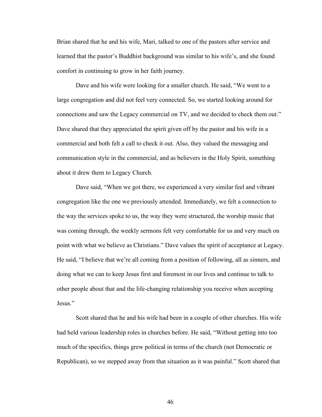Brian shared that he and his wife, Mari, talked to one of the pastors after service and learned that the pastor's Buddhist background was similar to his wife's, and she found comfort in continuing to grow in her faith journey.

Dave and his wife were looking for a smaller church. He said, "We went to a large congregation and did not feel very connected. So, we started looking around for connections and saw the Legacy commercial on TV, and we decided to check them out." Dave shared that they appreciated the spirit given off by the pastor and his wife in a commercial and both felt a call to check it out. Also, they valued the messaging and communication style in the commercial, and as believers in the Holy Spirit, something about it drew them to Legacy Church.

Dave said, "When we got there, we experienced a very similar feel and vibrant congregation like the one we previously attended. Immediately, we felt a connection to the way the services spoke to us, the way they were structured, the worship music that was coming through, the weekly sermons felt very comfortable for us and very much on point with what we believe as Christians." Dave values the spirit of acceptance at Legacy. He said, "I believe that we're all coming from a position of following, all as sinners, and doing what we can to keep Jesus first and foremost in our lives and continue to talk to other people about that and the life-changing relationship you receive when accepting Jesus."

Scott shared that he and his wife had been in a couple of other churches. His wife had held various leadership roles in churches before. He said, "Without getting into too much of the specifics, things grew political in terms of the church (not Democratic or Republican), so we stepped away from that situation as it was painful." Scott shared that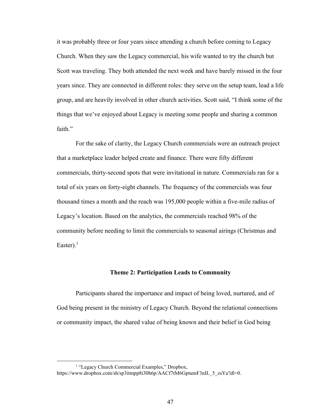it was probably three or four years since attending a church before coming to Legacy Church. When they saw the Legacy commercial, his wife wanted to try the church but Scott was traveling. They both attended the next week and have barely missed in the four years since. They are connected in different roles: they serve on the setup team, lead a life group, and are heavily involved in other church activities. Scott said, "I think some of the things that we've enjoyed about Legacy is meeting some people and sharing a common faith."

For the sake of clarity, the Legacy Church commercials were an outreach project that a marketplace leader helped create and finance. There were fifty different commercials, thirty-second spots that were invitational in nature. Commercials ran for a total of six years on forty-eight channels. The frequency of the commercials was four thousand times a month and the reach was 195,000 people within a five-mile radius of Legacy's location. Based on the analytics, the commercials reached 98% of the community before needing to limit the commercials to seasonal airings (Christmas and Easter).<sup>1</sup>

# **Theme 2: Participation Leads to Community**

Participants shared the importance and impact of being loved, nurtured, and of God being present in the ministry of Legacy Church. Beyond the relational connections or community impact, the shared value of being known and their belief in God being

<sup>&</sup>lt;sup>1</sup> "Legacy Church Commercial Examples," Dropbox,

https://www.dropbox.com/sh/sp3itmpp8i30h6p/AACf7tM6GptumF3nIL\_5\_zsYa?dl=0.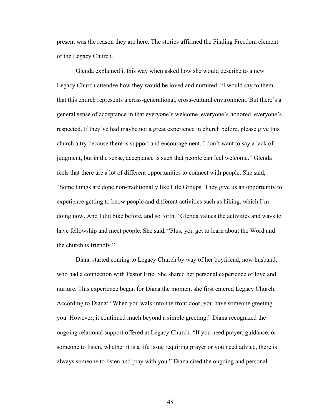present was the reason they are here. The stories affirmed the Finding Freedom element of the Legacy Church.

Glenda explained it this way when asked how she would describe to a new Legacy Church attendee how they would be loved and nurtured: "I would say to them that this church represents a cross-generational, cross-cultural environment. But there's a general sense of acceptance in that everyone's welcome, everyone's honored, everyone's respected. If they've had maybe not a great experience in church before, please give this church a try because there is support and encouragement. I don't want to say a lack of judgment, but in the sense, acceptance is such that people can feel welcome." Glenda feels that there are a lot of different opportunities to connect with people. She said, "Some things are done non-traditionally like Life Groups. They give us an opportunity to experience getting to know people and different activities such as hiking, which I'm doing now. And I did bike before, and so forth." Glenda values the activities and ways to have fellowship and meet people. She said, "Plus, you get to learn about the Word and the church is friendly."

Diana started coming to Legacy Church by way of her boyfriend, now husband, who had a connection with Pastor Eric. She shared her personal experience of love and nurture. This experience began for Diana the moment she first entered Legacy Church. According to Diana: "When you walk into the front door, you have someone greeting you. However, it continued much beyond a simple greeting." Diana recognized the ongoing relational support offered at Legacy Church. "If you need prayer, guidance, or someone to listen, whether it is a life issue requiring prayer or you need advice, there is always someone to listen and pray with you." Diana cited the ongoing and personal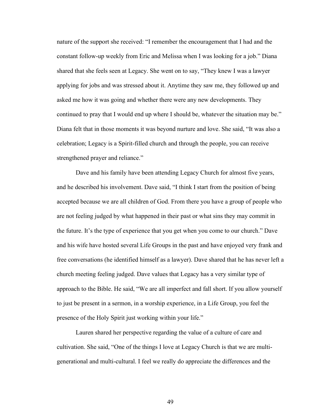nature of the support she received: "I remember the encouragement that I had and the constant follow-up weekly from Eric and Melissa when I was looking for a job." Diana shared that she feels seen at Legacy. She went on to say, "They knew I was a lawyer applying for jobs and was stressed about it. Anytime they saw me, they followed up and asked me how it was going and whether there were any new developments. They continued to pray that I would end up where I should be, whatever the situation may be." Diana felt that in those moments it was beyond nurture and love. She said, "It was also a celebration; Legacy is a Spirit-filled church and through the people, you can receive strengthened prayer and reliance."

Dave and his family have been attending Legacy Church for almost five years, and he described his involvement. Dave said, "I think I start from the position of being accepted because we are all children of God. From there you have a group of people who are not feeling judged by what happened in their past or what sins they may commit in the future. It's the type of experience that you get when you come to our church." Dave and his wife have hosted several Life Groups in the past and have enjoyed very frank and free conversations (he identified himself as a lawyer). Dave shared that he has never left a church meeting feeling judged. Dave values that Legacy has a very similar type of approach to the Bible. He said, "We are all imperfect and fall short. If you allow yourself to just be present in a sermon, in a worship experience, in a Life Group, you feel the presence of the Holy Spirit just working within your life."

Lauren shared her perspective regarding the value of a culture of care and cultivation. She said, "One of the things I love at Legacy Church is that we are multigenerational and multi-cultural. I feel we really do appreciate the differences and the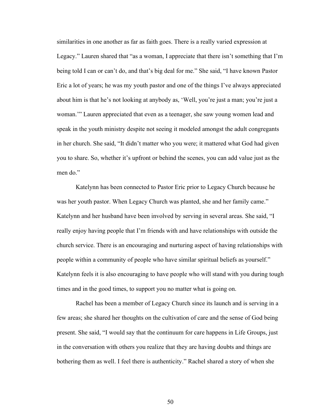similarities in one another as far as faith goes. There is a really varied expression at Legacy." Lauren shared that "as a woman, I appreciate that there isn't something that I'm being told I can or can't do, and that's big deal for me." She said, "I have known Pastor Eric a lot of years; he was my youth pastor and one of the things I've always appreciated about him is that he's not looking at anybody as, 'Well, you're just a man; you're just a woman.'" Lauren appreciated that even as a teenager, she saw young women lead and speak in the youth ministry despite not seeing it modeled amongst the adult congregants in her church. She said, "It didn't matter who you were; it mattered what God had given you to share. So, whether it's upfront or behind the scenes, you can add value just as the men do."

Katelynn has been connected to Pastor Eric prior to Legacy Church because he was her youth pastor. When Legacy Church was planted, she and her family came." Katelynn and her husband have been involved by serving in several areas. She said, "I really enjoy having people that I'm friends with and have relationships with outside the church service. There is an encouraging and nurturing aspect of having relationships with people within a community of people who have similar spiritual beliefs as yourself." Katelynn feels it is also encouraging to have people who will stand with you during tough times and in the good times, to support you no matter what is going on.

Rachel has been a member of Legacy Church since its launch and is serving in a few areas; she shared her thoughts on the cultivation of care and the sense of God being present. She said, "I would say that the continuum for care happens in Life Groups, just in the conversation with others you realize that they are having doubts and things are bothering them as well. I feel there is authenticity." Rachel shared a story of when she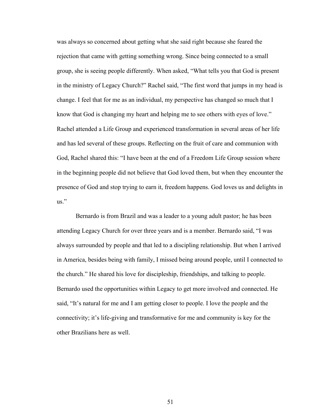was always so concerned about getting what she said right because she feared the rejection that came with getting something wrong. Since being connected to a small group, she is seeing people differently. When asked, "What tells you that God is present in the ministry of Legacy Church?" Rachel said, "The first word that jumps in my head is change. I feel that for me as an individual, my perspective has changed so much that I know that God is changing my heart and helping me to see others with eyes of love." Rachel attended a Life Group and experienced transformation in several areas of her life and has led several of these groups. Reflecting on the fruit of care and communion with God, Rachel shared this: "I have been at the end of a Freedom Life Group session where in the beginning people did not believe that God loved them, but when they encounter the presence of God and stop trying to earn it, freedom happens. God loves us and delights in us."

Bernardo is from Brazil and was a leader to a young adult pastor; he has been attending Legacy Church for over three years and is a member. Bernardo said, "I was always surrounded by people and that led to a discipling relationship. But when I arrived in America, besides being with family, I missed being around people, until I connected to the church." He shared his love for discipleship, friendships, and talking to people. Bernardo used the opportunities within Legacy to get more involved and connected. He said, "It's natural for me and I am getting closer to people. I love the people and the connectivity; it's life-giving and transformative for me and community is key for the other Brazilians here as well.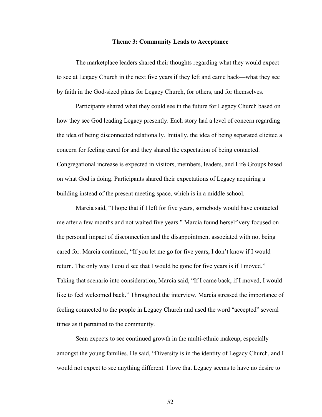#### **Theme 3: Community Leads to Acceptance**

The marketplace leaders shared their thoughts regarding what they would expect to see at Legacy Church in the next five years if they left and came back—what they see by faith in the God-sized plans for Legacy Church, for others, and for themselves.

Participants shared what they could see in the future for Legacy Church based on how they see God leading Legacy presently. Each story had a level of concern regarding the idea of being disconnected relationally. Initially, the idea of being separated elicited a concern for feeling cared for and they shared the expectation of being contacted. Congregational increase is expected in visitors, members, leaders, and Life Groups based on what God is doing. Participants shared their expectations of Legacy acquiring a building instead of the present meeting space, which is in a middle school.

Marcia said, "I hope that if I left for five years, somebody would have contacted me after a few months and not waited five years." Marcia found herself very focused on the personal impact of disconnection and the disappointment associated with not being cared for. Marcia continued, "If you let me go for five years, I don't know if I would return. The only way I could see that I would be gone for five years is if I moved." Taking that scenario into consideration, Marcia said, "If I came back, if I moved, I would like to feel welcomed back." Throughout the interview, Marcia stressed the importance of feeling connected to the people in Legacy Church and used the word "accepted" several times as it pertained to the community.

Sean expects to see continued growth in the multi-ethnic makeup, especially amongst the young families. He said, "Diversity is in the identity of Legacy Church, and I would not expect to see anything different. I love that Legacy seems to have no desire to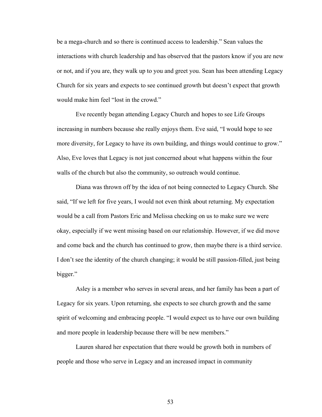be a mega-church and so there is continued access to leadership." Sean values the interactions with church leadership and has observed that the pastors know if you are new or not, and if you are, they walk up to you and greet you. Sean has been attending Legacy Church for six years and expects to see continued growth but doesn't expect that growth would make him feel "lost in the crowd."

Eve recently began attending Legacy Church and hopes to see Life Groups increasing in numbers because she really enjoys them. Eve said, "I would hope to see more diversity, for Legacy to have its own building, and things would continue to grow." Also, Eve loves that Legacy is not just concerned about what happens within the four walls of the church but also the community, so outreach would continue.

Diana was thrown off by the idea of not being connected to Legacy Church. She said, "If we left for five years, I would not even think about returning. My expectation would be a call from Pastors Eric and Melissa checking on us to make sure we were okay, especially if we went missing based on our relationship. However, if we did move and come back and the church has continued to grow, then maybe there is a third service. I don't see the identity of the church changing; it would be still passion-filled, just being bigger."

Asley is a member who serves in several areas, and her family has been a part of Legacy for six years. Upon returning, she expects to see church growth and the same spirit of welcoming and embracing people. "I would expect us to have our own building and more people in leadership because there will be new members."

Lauren shared her expectation that there would be growth both in numbers of people and those who serve in Legacy and an increased impact in community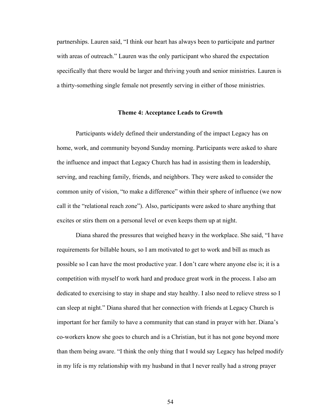partnerships. Lauren said, "I think our heart has always been to participate and partner with areas of outreach." Lauren was the only participant who shared the expectation specifically that there would be larger and thriving youth and senior ministries. Lauren is a thirty-something single female not presently serving in either of those ministries.

# **Theme 4: Acceptance Leads to Growth**

Participants widely defined their understanding of the impact Legacy has on home, work, and community beyond Sunday morning. Participants were asked to share the influence and impact that Legacy Church has had in assisting them in leadership, serving, and reaching family, friends, and neighbors. They were asked to consider the common unity of vision, "to make a difference" within their sphere of influence (we now call it the "relational reach zone"). Also, participants were asked to share anything that excites or stirs them on a personal level or even keeps them up at night.

Diana shared the pressures that weighed heavy in the workplace. She said, "I have requirements for billable hours, so I am motivated to get to work and bill as much as possible so I can have the most productive year. I don't care where anyone else is; it is a competition with myself to work hard and produce great work in the process. I also am dedicated to exercising to stay in shape and stay healthy. I also need to relieve stress so I can sleep at night." Diana shared that her connection with friends at Legacy Church is important for her family to have a community that can stand in prayer with her. Diana's co-workers know she goes to church and is a Christian, but it has not gone beyond more than them being aware. "I think the only thing that I would say Legacy has helped modify in my life is my relationship with my husband in that I never really had a strong prayer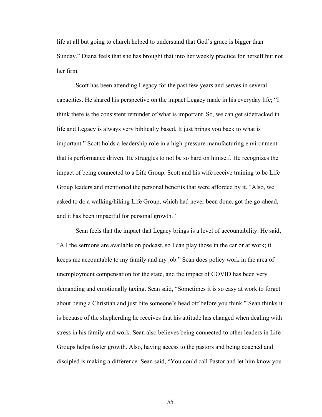life at all but going to church helped to understand that God's grace is bigger than Sunday." Diana feels that she has brought that into her weekly practice for herself but not her firm.

Scott has been attending Legacy for the past few years and serves in several capacities. He shared his perspective on the impact Legacy made in his everyday life; "I think there is the consistent reminder of what is important. So, we can get sidetracked in life and Legacy is always very biblically based. It just brings you back to what is important." Scott holds a leadership role in a high-pressure manufacturing environment that is performance driven. He struggles to not be so hard on himself. He recognizes the impact of being connected to a Life Group. Scott and his wife receive training to be Life Group leaders and mentioned the personal benefits that were afforded by it. "Also, we asked to do a walking/hiking Life Group, which had never been done, got the go-ahead, and it has been impactful for personal growth."

Sean feels that the impact that Legacy brings is a level of accountability. He said, "All the sermons are available on podcast, so I can play those in the car or at work; it keeps me accountable to my family and my job." Sean does policy work in the area of unemployment compensation for the state, and the impact of COVID has been very demanding and emotionally taxing. Sean said, "Sometimes it is so easy at work to forget about being a Christian and just bite someone's head off before you think." Sean thinks it is because of the shepherding he receives that his attitude has changed when dealing with stress in his family and work. Sean also believes being connected to other leaders in Life Groups helps foster growth. Also, having access to the pastors and being coached and discipled is making a difference. Sean said, "You could call Pastor and let him know you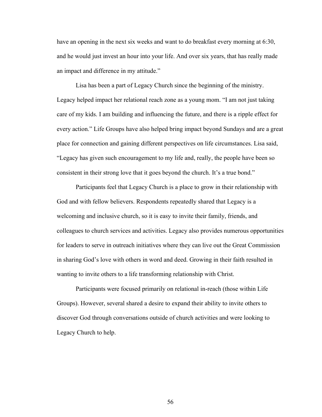have an opening in the next six weeks and want to do breakfast every morning at 6:30, and he would just invest an hour into your life. And over six years, that has really made an impact and difference in my attitude."

Lisa has been a part of Legacy Church since the beginning of the ministry. Legacy helped impact her relational reach zone as a young mom. "I am not just taking care of my kids. I am building and influencing the future, and there is a ripple effect for every action." Life Groups have also helped bring impact beyond Sundays and are a great place for connection and gaining different perspectives on life circumstances. Lisa said, "Legacy has given such encouragement to my life and, really, the people have been so consistent in their strong love that it goes beyond the church. It's a true bond."

Participants feel that Legacy Church is a place to grow in their relationship with God and with fellow believers. Respondents repeatedly shared that Legacy is a welcoming and inclusive church, so it is easy to invite their family, friends, and colleagues to church services and activities. Legacy also provides numerous opportunities for leaders to serve in outreach initiatives where they can live out the Great Commission in sharing God's love with others in word and deed. Growing in their faith resulted in wanting to invite others to a life transforming relationship with Christ.

Participants were focused primarily on relational in-reach (those within Life Groups). However, several shared a desire to expand their ability to invite others to discover God through conversations outside of church activities and were looking to Legacy Church to help.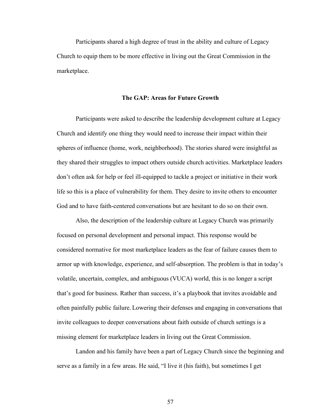Participants shared a high degree of trust in the ability and culture of Legacy Church to equip them to be more effective in living out the Great Commission in the marketplace.

# **The GAP: Areas for Future Growth**

Participants were asked to describe the leadership development culture at Legacy Church and identify one thing they would need to increase their impact within their spheres of influence (home, work, neighborhood). The stories shared were insightful as they shared their struggles to impact others outside church activities. Marketplace leaders don't often ask for help or feel ill-equipped to tackle a project or initiative in their work life so this is a place of vulnerability for them. They desire to invite others to encounter God and to have faith-centered conversations but are hesitant to do so on their own.

Also, the description of the leadership culture at Legacy Church was primarily focused on personal development and personal impact. This response would be considered normative for most marketplace leaders as the fear of failure causes them to armor up with knowledge, experience, and self-absorption. The problem is that in today's volatile, uncertain, complex, and ambiguous (VUCA) world, this is no longer a script that's good for business. Rather than success, it's a playbook that invites avoidable and often painfully public failure. Lowering their defenses and engaging in conversations that invite colleagues to deeper conversations about faith outside of church settings is a missing element for marketplace leaders in living out the Great Commission.

Landon and his family have been a part of Legacy Church since the beginning and serve as a family in a few areas. He said, "I live it (his faith), but sometimes I get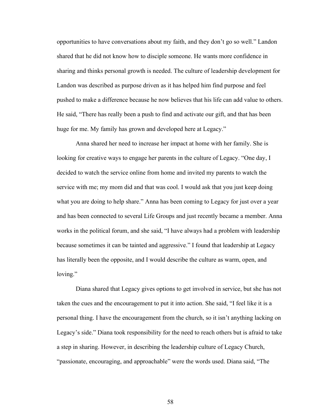opportunities to have conversations about my faith, and they don't go so well." Landon shared that he did not know how to disciple someone. He wants more confidence in sharing and thinks personal growth is needed. The culture of leadership development for Landon was described as purpose driven as it has helped him find purpose and feel pushed to make a difference because he now believes that his life can add value to others. He said, "There has really been a push to find and activate our gift, and that has been huge for me. My family has grown and developed here at Legacy."

Anna shared her need to increase her impact at home with her family. She is looking for creative ways to engage her parents in the culture of Legacy. "One day, I decided to watch the service online from home and invited my parents to watch the service with me; my mom did and that was cool. I would ask that you just keep doing what you are doing to help share." Anna has been coming to Legacy for just over a year and has been connected to several Life Groups and just recently became a member. Anna works in the political forum, and she said, "I have always had a problem with leadership because sometimes it can be tainted and aggressive." I found that leadership at Legacy has literally been the opposite, and I would describe the culture as warm, open, and loving."

Diana shared that Legacy gives options to get involved in service, but she has not taken the cues and the encouragement to put it into action. She said, "I feel like it is a personal thing. I have the encouragement from the church, so it isn't anything lacking on Legacy's side." Diana took responsibility for the need to reach others but is afraid to take a step in sharing. However, in describing the leadership culture of Legacy Church, "passionate, encouraging, and approachable" were the words used. Diana said, "The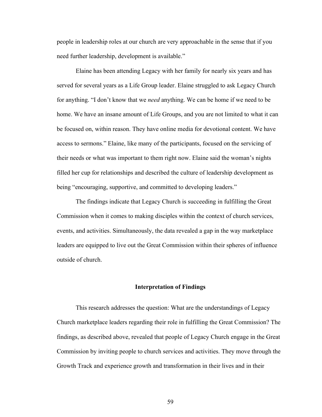people in leadership roles at our church are very approachable in the sense that if you need further leadership, development is available."

Elaine has been attending Legacy with her family for nearly six years and has served for several years as a Life Group leader. Elaine struggled to ask Legacy Church for anything. "I don't know that we *need* anything. We can be home if we need to be home. We have an insane amount of Life Groups, and you are not limited to what it can be focused on, within reason. They have online media for devotional content. We have access to sermons." Elaine, like many of the participants, focused on the servicing of their needs or what was important to them right now. Elaine said the woman's nights filled her cup for relationships and described the culture of leadership development as being "encouraging, supportive, and committed to developing leaders."

The findings indicate that Legacy Church is succeeding in fulfilling the Great Commission when it comes to making disciples within the context of church services, events, and activities. Simultaneously, the data revealed a gap in the way marketplace leaders are equipped to live out the Great Commission within their spheres of influence outside of church.

# **Interpretation of Findings**

This research addresses the question: What are the understandings of Legacy Church marketplace leaders regarding their role in fulfilling the Great Commission? The findings, as described above, revealed that people of Legacy Church engage in the Great Commission by inviting people to church services and activities. They move through the Growth Track and experience growth and transformation in their lives and in their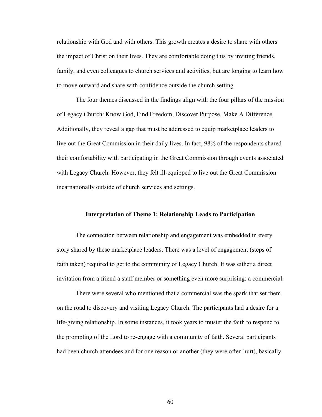relationship with God and with others. This growth creates a desire to share with others the impact of Christ on their lives. They are comfortable doing this by inviting friends, family, and even colleagues to church services and activities, but are longing to learn how to move outward and share with confidence outside the church setting.

The four themes discussed in the findings align with the four pillars of the mission of Legacy Church: Know God, Find Freedom, Discover Purpose, Make A Difference. Additionally, they reveal a gap that must be addressed to equip marketplace leaders to live out the Great Commission in their daily lives. In fact, 98% of the respondents shared their comfortability with participating in the Great Commission through events associated with Legacy Church. However, they felt ill-equipped to live out the Great Commission incarnationally outside of church services and settings.

# **Interpretation of Theme 1: Relationship Leads to Participation**

The connection between relationship and engagement was embedded in every story shared by these marketplace leaders. There was a level of engagement (steps of faith taken) required to get to the community of Legacy Church. It was either a direct invitation from a friend a staff member or something even more surprising: a commercial.

There were several who mentioned that a commercial was the spark that set them on the road to discovery and visiting Legacy Church. The participants had a desire for a life-giving relationship. In some instances, it took years to muster the faith to respond to the prompting of the Lord to re-engage with a community of faith. Several participants had been church attendees and for one reason or another (they were often hurt), basically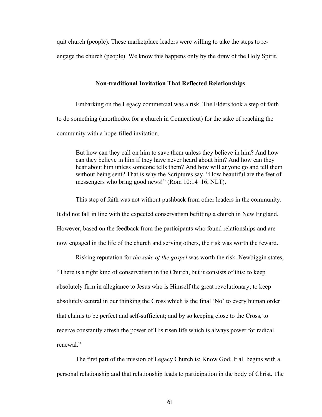quit church (people). These marketplace leaders were willing to take the steps to re-

engage the church (people). We know this happens only by the draw of the Holy Spirit.

# **Non-traditional Invitation That Reflected Relationships**

Embarking on the Legacy commercial was a risk. The Elders took a step of faith to do something (unorthodox for a church in Connecticut) for the sake of reaching the community with a hope-filled invitation.

But how can they call on him to save them unless they believe in him? And how can they believe in him if they have never heard about him? And how can they hear about him unless someone tells them? And how will anyone go and tell them without being sent? That is why the Scriptures say, "How beautiful are the feet of messengers who bring good news!" (Rom 10:14–16, NLT).

This step of faith was not without pushback from other leaders in the community. It did not fall in line with the expected conservatism befitting a church in New England. However, based on the feedback from the participants who found relationships and are now engaged in the life of the church and serving others, the risk was worth the reward.

Risking reputation for *the sake of the gospel* was worth the risk. Newbiggin states, "There is a right kind of conservatism in the Church, but it consists of this: to keep absolutely firm in allegiance to Jesus who is Himself the great revolutionary; to keep absolutely central in our thinking the Cross which is the final 'No' to every human order that claims to be perfect and self-sufficient; and by so keeping close to the Cross, to receive constantly afresh the power of His risen life which is always power for radical renewal."

The first part of the mission of Legacy Church is: Know God. It all begins with a personal relationship and that relationship leads to participation in the body of Christ. The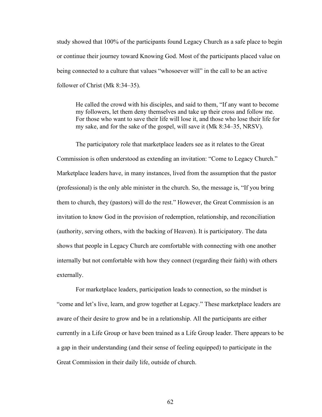study showed that 100% of the participants found Legacy Church as a safe place to begin or continue their journey toward Knowing God. Most of the participants placed value on being connected to a culture that values "whosoever will" in the call to be an active follower of Christ (Mk 8:34–35).

He called the crowd with his disciples, and said to them, "If any want to become my followers, let them deny themselves and take up their cross and follow me. For those who want to save their life will lose it, and those who lose their life for my sake, and for the sake of the gospel, will save it (Mk 8:34–35, NRSV).

The participatory role that marketplace leaders see as it relates to the Great Commission is often understood as extending an invitation: "Come to Legacy Church." Marketplace leaders have, in many instances, lived from the assumption that the pastor (professional) is the only able minister in the church. So, the message is, "If you bring them to church, they (pastors) will do the rest." However, the Great Commission is an invitation to know God in the provision of redemption, relationship, and reconciliation (authority, serving others, with the backing of Heaven). It is participatory. The data shows that people in Legacy Church are comfortable with connecting with one another internally but not comfortable with how they connect (regarding their faith) with others externally.

For marketplace leaders, participation leads to connection, so the mindset is "come and let's live, learn, and grow together at Legacy." These marketplace leaders are aware of their desire to grow and be in a relationship. All the participants are either currently in a Life Group or have been trained as a Life Group leader. There appears to be a gap in their understanding (and their sense of feeling equipped) to participate in the Great Commission in their daily life, outside of church.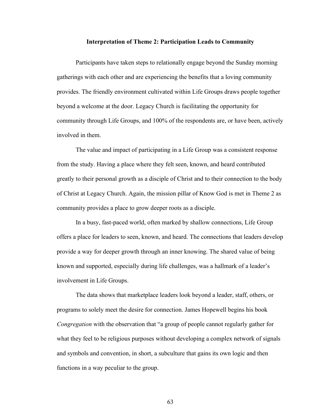#### **Interpretation of Theme 2: Participation Leads to Community**

Participants have taken steps to relationally engage beyond the Sunday morning gatherings with each other and are experiencing the benefits that a loving community provides. The friendly environment cultivated within Life Groups draws people together beyond a welcome at the door. Legacy Church is facilitating the opportunity for community through Life Groups, and 100% of the respondents are, or have been, actively involved in them.

The value and impact of participating in a Life Group was a consistent response from the study. Having a place where they felt seen, known, and heard contributed greatly to their personal growth as a disciple of Christ and to their connection to the body of Christ at Legacy Church. Again, the mission pillar of Know God is met in Theme 2 as community provides a place to grow deeper roots as a disciple.

In a busy, fast-paced world, often marked by shallow connections, Life Group offers a place for leaders to seen, known, and heard. The connections that leaders develop provide a way for deeper growth through an inner knowing. The shared value of being known and supported, especially during life challenges, was a hallmark of a leader's involvement in Life Groups.

The data shows that marketplace leaders look beyond a leader, staff, others, or programs to solely meet the desire for connection. James Hopewell begins his book *Congregation* with the observation that "a group of people cannot regularly gather for what they feel to be religious purposes without developing a complex network of signals and symbols and convention, in short, a subculture that gains its own logic and then functions in a way peculiar to the group.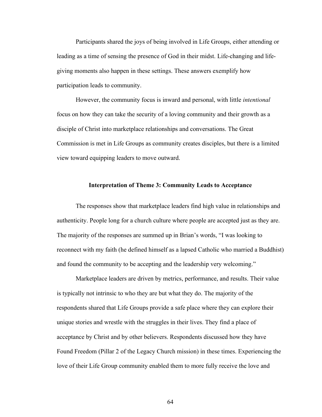Participants shared the joys of being involved in Life Groups, either attending or leading as a time of sensing the presence of God in their midst. Life-changing and lifegiving moments also happen in these settings. These answers exemplify how participation leads to community.

However, the community focus is inward and personal, with little *intentional* focus on how they can take the security of a loving community and their growth as a disciple of Christ into marketplace relationships and conversations. The Great Commission is met in Life Groups as community creates disciples, but there is a limited view toward equipping leaders to move outward.

#### **Interpretation of Theme 3: Community Leads to Acceptance**

The responses show that marketplace leaders find high value in relationships and authenticity. People long for a church culture where people are accepted just as they are. The majority of the responses are summed up in Brian's words, "I was looking to reconnect with my faith (he defined himself as a lapsed Catholic who married a Buddhist) and found the community to be accepting and the leadership very welcoming."

Marketplace leaders are driven by metrics, performance, and results. Their value is typically not intrinsic to who they are but what they do. The majority of the respondents shared that Life Groups provide a safe place where they can explore their unique stories and wrestle with the struggles in their lives. They find a place of acceptance by Christ and by other believers. Respondents discussed how they have Found Freedom (Pillar 2 of the Legacy Church mission) in these times. Experiencing the love of their Life Group community enabled them to more fully receive the love and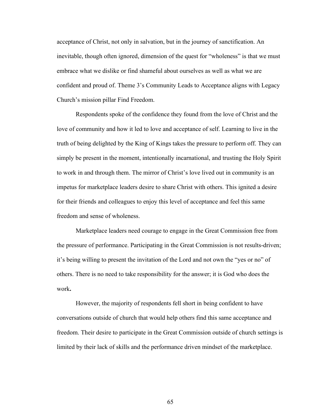acceptance of Christ, not only in salvation, but in the journey of sanctification. An inevitable, though often ignored, dimension of the quest for "wholeness" is that we must embrace what we dislike or find shameful about ourselves as well as what we are confident and proud of. Theme 3's Community Leads to Acceptance aligns with Legacy Church's mission pillar Find Freedom.

Respondents spoke of the confidence they found from the love of Christ and the love of community and how it led to love and acceptance of self. Learning to live in the truth of being delighted by the King of Kings takes the pressure to perform off. They can simply be present in the moment, intentionally incarnational, and trusting the Holy Spirit to work in and through them. The mirror of Christ's love lived out in community is an impetus for marketplace leaders desire to share Christ with others. This ignited a desire for their friends and colleagues to enjoy this level of acceptance and feel this same freedom and sense of wholeness.

Marketplace leaders need courage to engage in the Great Commission free from the pressure of performance. Participating in the Great Commission is not results-driven; it's being willing to present the invitation of the Lord and not own the "yes or no" of others. There is no need to take responsibility for the answer; it is God who does the work**.**

However, the majority of respondents fell short in being confident to have conversations outside of church that would help others find this same acceptance and freedom. Their desire to participate in the Great Commission outside of church settings is limited by their lack of skills and the performance driven mindset of the marketplace.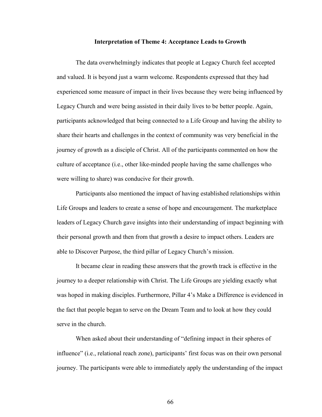#### **Interpretation of Theme 4: Acceptance Leads to Growth**

The data overwhelmingly indicates that people at Legacy Church feel accepted and valued. It is beyond just a warm welcome. Respondents expressed that they had experienced some measure of impact in their lives because they were being influenced by Legacy Church and were being assisted in their daily lives to be better people. Again, participants acknowledged that being connected to a Life Group and having the ability to share their hearts and challenges in the context of community was very beneficial in the journey of growth as a disciple of Christ. All of the participants commented on how the culture of acceptance (i.e., other like-minded people having the same challenges who were willing to share) was conducive for their growth.

Participants also mentioned the impact of having established relationships within Life Groups and leaders to create a sense of hope and encouragement. The marketplace leaders of Legacy Church gave insights into their understanding of impact beginning with their personal growth and then from that growth a desire to impact others. Leaders are able to Discover Purpose, the third pillar of Legacy Church's mission.

It became clear in reading these answers that the growth track is effective in the journey to a deeper relationship with Christ. The Life Groups are yielding exactly what was hoped in making disciples. Furthermore, Pillar 4's Make a Difference is evidenced in the fact that people began to serve on the Dream Team and to look at how they could serve in the church.

When asked about their understanding of "defining impact in their spheres of influence" (i.e., relational reach zone), participants' first focus was on their own personal journey. The participants were able to immediately apply the understanding of the impact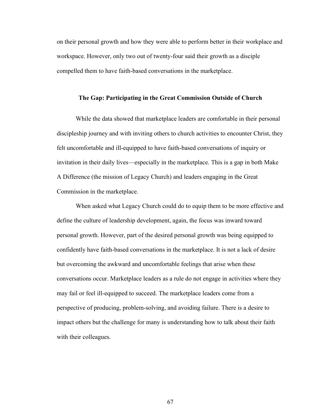on their personal growth and how they were able to perform better in their workplace and workspace. However, only two out of twenty-four said their growth as a disciple compelled them to have faith-based conversations in the marketplace.

#### **The Gap: Participating in the Great Commission Outside of Church**

While the data showed that marketplace leaders are comfortable in their personal discipleship journey and with inviting others to church activities to encounter Christ, they felt uncomfortable and ill-equipped to have faith-based conversations of inquiry or invitation in their daily lives—especially in the marketplace. This is a gap in both Make A Difference (the mission of Legacy Church) and leaders engaging in the Great Commission in the marketplace.

When asked what Legacy Church could do to equip them to be more effective and define the culture of leadership development, again, the focus was inward toward personal growth. However, part of the desired personal growth was being equipped to confidently have faith-based conversations in the marketplace. It is not a lack of desire but overcoming the awkward and uncomfortable feelings that arise when these conversations occur. Marketplace leaders as a rule do not engage in activities where they may fail or feel ill-equipped to succeed. The marketplace leaders come from a perspective of producing, problem-solving, and avoiding failure. There is a desire to impact others but the challenge for many is understanding how to talk about their faith with their colleagues.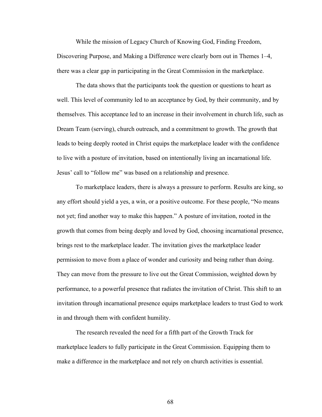While the mission of Legacy Church of Knowing God, Finding Freedom, Discovering Purpose, and Making a Difference were clearly born out in Themes 1–4, there was a clear gap in participating in the Great Commission in the marketplace.

The data shows that the participants took the question or questions to heart as well. This level of community led to an acceptance by God, by their community, and by themselves. This acceptance led to an increase in their involvement in church life, such as Dream Team (serving), church outreach, and a commitment to growth. The growth that leads to being deeply rooted in Christ equips the marketplace leader with the confidence to live with a posture of invitation, based on intentionally living an incarnational life. Jesus' call to "follow me" was based on a relationship and presence.

To marketplace leaders, there is always a pressure to perform. Results are king, so any effort should yield a yes, a win, or a positive outcome. For these people, "No means not yet; find another way to make this happen." A posture of invitation, rooted in the growth that comes from being deeply and loved by God, choosing incarnational presence, brings rest to the marketplace leader. The invitation gives the marketplace leader permission to move from a place of wonder and curiosity and being rather than doing. They can move from the pressure to live out the Great Commission, weighted down by performance, to a powerful presence that radiates the invitation of Christ. This shift to an invitation through incarnational presence equips marketplace leaders to trust God to work in and through them with confident humility.

The research revealed the need for a fifth part of the Growth Track for marketplace leaders to fully participate in the Great Commission. Equipping them to make a difference in the marketplace and not rely on church activities is essential.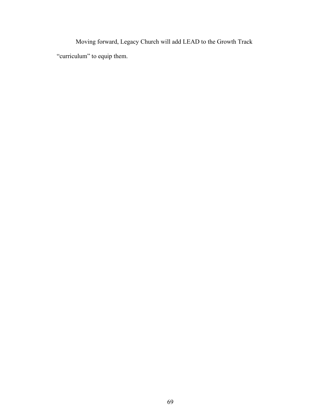Moving forward, Legacy Church will add LEAD to the Growth Track "curriculum" to equip them.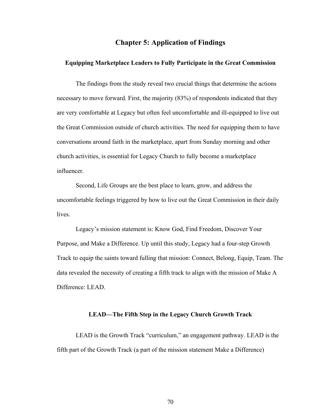# **Chapter 5: Application of Findings**

### **Equipping Marketplace Leaders to Fully Participate in the Great Commission**

The findings from the study reveal two crucial things that determine the actions necessary to move forward. First, the majority (83%) of respondents indicated that they are very comfortable at Legacy but often feel uncomfortable and ill-equipped to live out the Great Commission outside of church activities. The need for equipping them to have conversations around faith in the marketplace, apart from Sunday morning and other church activities, is essential for Legacy Church to fully become a marketplace influencer.

Second, Life Groups are the best place to learn, grow, and address the uncomfortable feelings triggered by how to live out the Great Commission in their daily lives.

Legacy's mission statement is: Know God, Find Freedom, Discover Your Purpose, and Make a Difference. Up until this study, Legacy had a four-step Growth Track to equip the saints toward fulling that mission: Connect, Belong, Equip, Team. The data revealed the necessity of creating a fifth track to align with the mission of Make A Difference: LEAD.

#### **LEAD—The Fifth Step in the Legacy Church Growth Track**

LEAD is the Growth Track "curriculum," an engagement pathway. LEAD is the fifth part of the Growth Track (a part of the mission statement Make a Difference)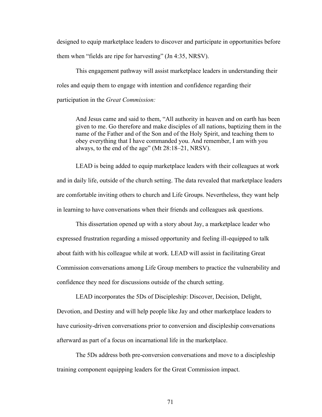designed to equip marketplace leaders to discover and participate in opportunities before them when "fields are ripe for harvesting" (Jn 4:35, NRSV).

This engagement pathway will assist marketplace leaders in understanding their roles and equip them to engage with intention and confidence regarding their participation in the *Great Commission:*

And Jesus came and said to them, "All authority in heaven and on earth has been given to me. Go therefore and make disciples of all nations, baptizing them in the name of the Father and of the Son and of the Holy Spirit, and teaching them to obey everything that I have commanded you. And remember, I am with you always, to the end of the age" (Mt 28:18–21, NRSV).

LEAD is being added to equip marketplace leaders with their colleagues at work and in daily life, outside of the church setting. The data revealed that marketplace leaders are comfortable inviting others to church and Life Groups. Nevertheless, they want help in learning to have conversations when their friends and colleagues ask questions.

This dissertation opened up with a story about Jay, a marketplace leader who expressed frustration regarding a missed opportunity and feeling ill-equipped to talk about faith with his colleague while at work. LEAD will assist in facilitating Great Commission conversations among Life Group members to practice the vulnerability and confidence they need for discussions outside of the church setting.

LEAD incorporates the 5Ds of Discipleship: Discover, Decision, Delight, Devotion, and Destiny and will help people like Jay and other marketplace leaders to have curiosity-driven conversations prior to conversion and discipleship conversations afterward as part of a focus on incarnational life in the marketplace.

The 5Ds address both pre-conversion conversations and move to a discipleship training component equipping leaders for the Great Commission impact.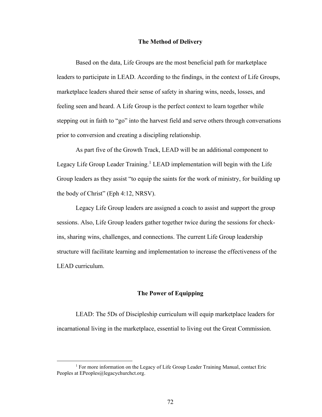#### **The Method of Delivery**

Based on the data, Life Groups are the most beneficial path for marketplace leaders to participate in LEAD. According to the findings, in the context of Life Groups, marketplace leaders shared their sense of safety in sharing wins, needs, losses, and feeling seen and heard. A Life Group is the perfect context to learn together while stepping out in faith to "go" into the harvest field and serve others through conversations prior to conversion and creating a discipling relationship.

As part five of the Growth Track, LEAD will be an additional component to Legacy Life Group Leader Training.<sup>1</sup> LEAD implementation will begin with the Life Group leaders as they assist "to equip the saints for the work of ministry, for building up the body of Christ" (Eph 4:12, NRSV).

Legacy Life Group leaders are assigned a coach to assist and support the group sessions. Also, Life Group leaders gather together twice during the sessions for checkins, sharing wins, challenges, and connections. The current Life Group leadership structure will facilitate learning and implementation to increase the effectiveness of the LEAD curriculum.

## **The Power of Equipping**

LEAD: The 5Ds of Discipleship curriculum will equip marketplace leaders for incarnational living in the marketplace, essential to living out the Great Commission.

<sup>&</sup>lt;sup>1</sup> For more information on the Legacy of Life Group Leader Training Manual, contact Eric Peoples at EPeoples@legacychurchct.org.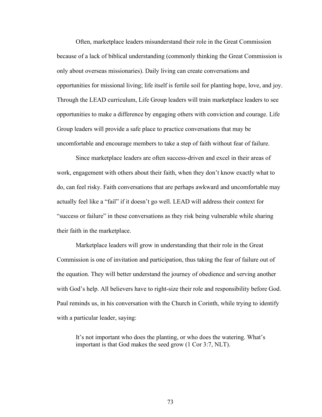Often, marketplace leaders misunderstand their role in the Great Commission because of a lack of biblical understanding (commonly thinking the Great Commission is only about overseas missionaries). Daily living can create conversations and opportunities for missional living; life itself is fertile soil for planting hope, love, and joy. Through the LEAD curriculum, Life Group leaders will train marketplace leaders to see opportunities to make a difference by engaging others with conviction and courage. Life Group leaders will provide a safe place to practice conversations that may be uncomfortable and encourage members to take a step of faith without fear of failure.

Since marketplace leaders are often success-driven and excel in their areas of work, engagement with others about their faith, when they don't know exactly what to do, can feel risky. Faith conversations that are perhaps awkward and uncomfortable may actually feel like a "fail" if it doesn't go well. LEAD will address their context for "success or failure" in these conversations as they risk being vulnerable while sharing their faith in the marketplace.

Marketplace leaders will grow in understanding that their role in the Great Commission is one of invitation and participation, thus taking the fear of failure out of the equation. They will better understand the journey of obedience and serving another with God's help. All believers have to right-size their role and responsibility before God. Paul reminds us, in his conversation with the Church in Corinth, while trying to identify with a particular leader, saying:

It's not important who does the planting, or who does the watering. What's important is that God makes the seed grow (1 Cor 3:7, NLT).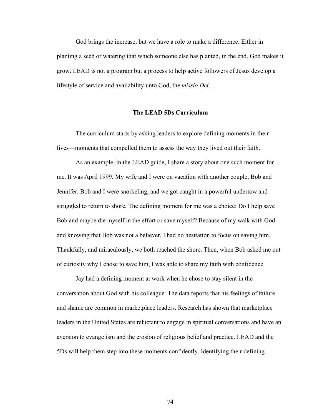God brings the increase, but we have a role to make a difference. Either in planting a seed or watering that which someone else has planted, in the end, God makes it grow. LEAD is not a program but a process to help active followers of Jesus develop a lifestyle of service and availability unto God, the *missio Dei*.

### **The LEAD 5Ds Curriculum**

The curriculum starts by asking leaders to explore defining moments in their lives—moments that compelled them to assess the way they lived out their faith.

As an example, in the LEAD guide, I share a story about one such moment for me. It was April 1999. My wife and I were on vacation with another couple, Bob and Jennifer. Bob and I were snorkeling, and we got caught in a powerful undertow and struggled to return to shore. The defining moment for me was a choice: Do I help save Bob and maybe die myself in the effort or save myself? Because of my walk with God and knowing that Bob was not a believer, I had no hesitation to focus on saving him. Thankfully, and miraculously, we both reached the shore. Then, when Bob asked me out of curiosity why I chose to save him, I was able to share my faith with confidence.

Jay had a defining moment at work when he chose to stay silent in the conversation about God with his colleague. The data reports that his feelings of failure and shame are common in marketplace leaders. Research has shown that marketplace leaders in the United States are reluctant to engage in spiritual conversations and have an aversion to evangelism and the erosion of religious belief and practice. LEAD and the 5Ds will help them step into these moments confidently. Identifying their defining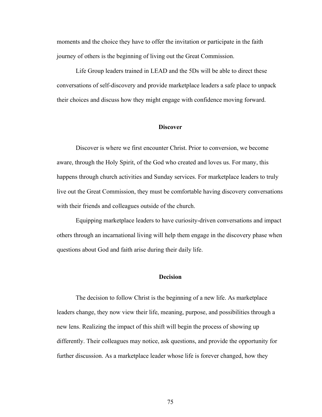moments and the choice they have to offer the invitation or participate in the faith journey of others is the beginning of living out the Great Commission.

Life Group leaders trained in LEAD and the 5Ds will be able to direct these conversations of self-discovery and provide marketplace leaders a safe place to unpack their choices and discuss how they might engage with confidence moving forward.

#### **Discover**

Discover is where we first encounter Christ. Prior to conversion, we become aware, through the Holy Spirit, of the God who created and loves us. For many, this happens through church activities and Sunday services. For marketplace leaders to truly live out the Great Commission, they must be comfortable having discovery conversations with their friends and colleagues outside of the church.

Equipping marketplace leaders to have curiosity-driven conversations and impact others through an incarnational living will help them engage in the discovery phase when questions about God and faith arise during their daily life.

#### **Decision**

The decision to follow Christ is the beginning of a new life. As marketplace leaders change, they now view their life, meaning, purpose, and possibilities through a new lens. Realizing the impact of this shift will begin the process of showing up differently. Their colleagues may notice, ask questions, and provide the opportunity for further discussion. As a marketplace leader whose life is forever changed, how they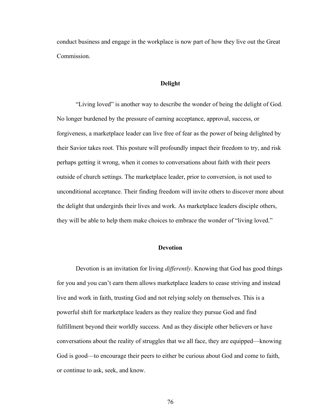conduct business and engage in the workplace is now part of how they live out the Great Commission.

### **Delight**

"Living loved" is another way to describe the wonder of being the delight of God. No longer burdened by the pressure of earning acceptance, approval, success, or forgiveness, a marketplace leader can live free of fear as the power of being delighted by their Savior takes root. This posture will profoundly impact their freedom to try, and risk perhaps getting it wrong, when it comes to conversations about faith with their peers outside of church settings. The marketplace leader, prior to conversion, is not used to unconditional acceptance. Their finding freedom will invite others to discover more about the delight that undergirds their lives and work. As marketplace leaders disciple others, they will be able to help them make choices to embrace the wonder of "living loved."

# **Devotion**

Devotion is an invitation for living *differently*. Knowing that God has good things for you and you can't earn them allows marketplace leaders to cease striving and instead live and work in faith, trusting God and not relying solely on themselves. This is a powerful shift for marketplace leaders as they realize they pursue God and find fulfillment beyond their worldly success. And as they disciple other believers or have conversations about the reality of struggles that we all face, they are equipped—knowing God is good—to encourage their peers to either be curious about God and come to faith, or continue to ask, seek, and know.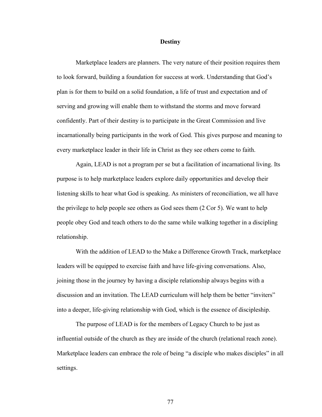#### **Destiny**

Marketplace leaders are planners. The very nature of their position requires them to look forward, building a foundation for success at work. Understanding that God's plan is for them to build on a solid foundation, a life of trust and expectation and of serving and growing will enable them to withstand the storms and move forward confidently. Part of their destiny is to participate in the Great Commission and live incarnationally being participants in the work of God. This gives purpose and meaning to every marketplace leader in their life in Christ as they see others come to faith.

Again, LEAD is not a program per se but a facilitation of incarnational living. Its purpose is to help marketplace leaders explore daily opportunities and develop their listening skills to hear what God is speaking. As ministers of reconciliation, we all have the privilege to help people see others as God sees them (2 Cor 5). We want to help people obey God and teach others to do the same while walking together in a discipling relationship.

With the addition of LEAD to the Make a Difference Growth Track, marketplace leaders will be equipped to exercise faith and have life-giving conversations. Also, joining those in the journey by having a disciple relationship always begins with a discussion and an invitation. The LEAD curriculum will help them be better "inviters" into a deeper, life-giving relationship with God, which is the essence of discipleship.

The purpose of LEAD is for the members of Legacy Church to be just as influential outside of the church as they are inside of the church (relational reach zone). Marketplace leaders can embrace the role of being "a disciple who makes disciples" in all settings.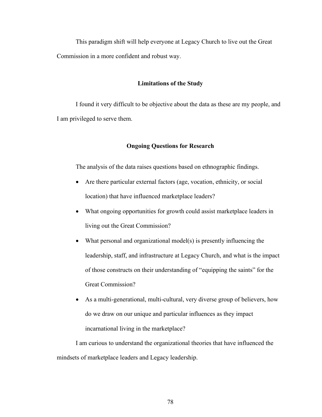This paradigm shift will help everyone at Legacy Church to live out the Great Commission in a more confident and robust way.

### **Limitations of the Study**

I found it very difficult to be objective about the data as these are my people, and I am privileged to serve them.

## **Ongoing Questions for Research**

The analysis of the data raises questions based on ethnographic findings.

- Are there particular external factors (age, vocation, ethnicity, or social location) that have influenced marketplace leaders?
- What ongoing opportunities for growth could assist marketplace leaders in living out the Great Commission?
- What personal and organizational model(s) is presently influencing the leadership, staff, and infrastructure at Legacy Church, and what is the impact of those constructs on their understanding of "equipping the saints" for the Great Commission?
- As a multi-generational, multi-cultural, very diverse group of believers, how do we draw on our unique and particular influences as they impact incarnational living in the marketplace?

I am curious to understand the organizational theories that have influenced the mindsets of marketplace leaders and Legacy leadership.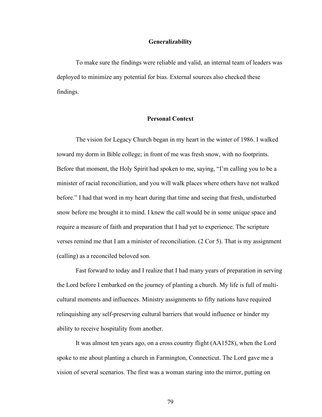### **Generalizability**

To make sure the findings were reliable and valid, an internal team of leaders was deployed to minimize any potential for bias. External sources also checked these findings.

# **Personal Context**

The vision for Legacy Church began in my heart in the winter of 1986. I walked toward my dorm in Bible college; in front of me was fresh snow, with no footprints. Before that moment, the Holy Spirit had spoken to me, saying, "I'm calling you to be a minister of racial reconciliation, and you will walk places where others have not walked before." I had that word in my heart during that time and seeing that fresh, undisturbed snow before me brought it to mind. I knew the call would be in some unique space and require a measure of faith and preparation that I had yet to experience. The scripture verses remind me that I am a minister of reconciliation. (2 Cor 5). That is my assignment (calling) as a reconciled beloved son.

Fast forward to today and I realize that I had many years of preparation in serving the Lord before I embarked on the journey of planting a church. My life is full of multicultural moments and influences. Ministry assignments to fifty nations have required relinquishing any self-preserving cultural barriers that would influence or hinder my ability to receive hospitality from another.

It was almost ten years ago, on a cross country flight (AA1528), when the Lord spoke to me about planting a church in Farmington, Connecticut. The Lord gave me a vision of several scenarios. The first was a woman staring into the mirror, putting on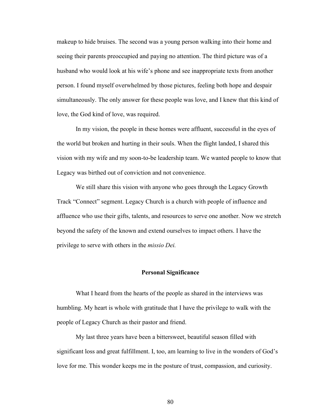makeup to hide bruises. The second was a young person walking into their home and seeing their parents preoccupied and paying no attention. The third picture was of a husband who would look at his wife's phone and see inappropriate texts from another person. I found myself overwhelmed by those pictures, feeling both hope and despair simultaneously. The only answer for these people was love, and I knew that this kind of love, the God kind of love, was required.

In my vision, the people in these homes were affluent, successful in the eyes of the world but broken and hurting in their souls. When the flight landed, I shared this vision with my wife and my soon-to-be leadership team. We wanted people to know that Legacy was birthed out of conviction and not convenience.

We still share this vision with anyone who goes through the Legacy Growth Track "Connect" segment. Legacy Church is a church with people of influence and affluence who use their gifts, talents, and resources to serve one another. Now we stretch beyond the safety of the known and extend ourselves to impact others. I have the privilege to serve with others in the *missio Dei.*

#### **Personal Significance**

What I heard from the hearts of the people as shared in the interviews was humbling. My heart is whole with gratitude that I have the privilege to walk with the people of Legacy Church as their pastor and friend.

My last three years have been a bittersweet, beautiful season filled with significant loss and great fulfillment. I, too, am learning to live in the wonders of God's love for me. This wonder keeps me in the posture of trust, compassion, and curiosity.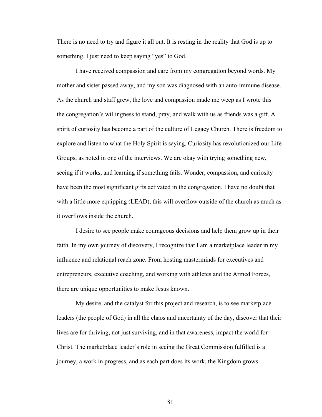There is no need to try and figure it all out. It is resting in the reality that God is up to something. I just need to keep saying "yes" to God.

I have received compassion and care from my congregation beyond words. My mother and sister passed away, and my son was diagnosed with an auto-immune disease. As the church and staff grew, the love and compassion made me weep as I wrote this the congregation's willingness to stand, pray, and walk with us as friends was a gift. A spirit of curiosity has become a part of the culture of Legacy Church. There is freedom to explore and listen to what the Holy Spirit is saying. Curiosity has revolutionized our Life Groups, as noted in one of the interviews. We are okay with trying something new, seeing if it works, and learning if something fails. Wonder, compassion, and curiosity have been the most significant gifts activated in the congregation. I have no doubt that with a little more equipping (LEAD), this will overflow outside of the church as much as it overflows inside the church.

I desire to see people make courageous decisions and help them grow up in their faith. In my own journey of discovery, I recognize that I am a marketplace leader in my influence and relational reach zone. From hosting masterminds for executives and entrepreneurs, executive coaching, and working with athletes and the Armed Forces, there are unique opportunities to make Jesus known.

My desire, and the catalyst for this project and research, is to see marketplace leaders (the people of God) in all the chaos and uncertainty of the day, discover that their lives are for thriving, not just surviving, and in that awareness, impact the world for Christ. The marketplace leader's role in seeing the Great Commission fulfilled is a journey, a work in progress, and as each part does its work, the Kingdom grows.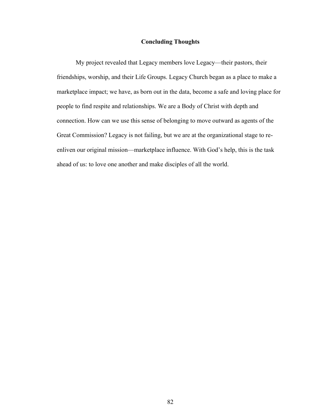# **Concluding Thoughts**

My project revealed that Legacy members love Legacy—their pastors, their friendships, worship, and their Life Groups. Legacy Church began as a place to make a marketplace impact; we have, as born out in the data, become a safe and loving place for people to find respite and relationships. We are a Body of Christ with depth and connection. How can we use this sense of belonging to move outward as agents of the Great Commission? Legacy is not failing, but we are at the organizational stage to reenliven our original mission—marketplace influence. With God's help, this is the task ahead of us: to love one another and make disciples of all the world.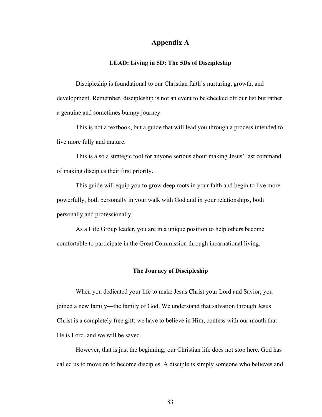# **Appendix A**

#### **LEAD: Living in 5D: The 5Ds of Discipleship**

Discipleship is foundational to our Christian faith's nurturing, growth, and development. Remember, discipleship is not an event to be checked off our list but rather a genuine and sometimes bumpy journey.

This is not a textbook, but a guide that will lead you through a process intended to live more fully and mature.

This is also a strategic tool for anyone serious about making Jesus' last command of making disciples their first priority.

This guide will equip you to grow deep roots in your faith and begin to live more powerfully, both personally in your walk with God and in your relationships, both personally and professionally.

As a Life Group leader, you are in a unique position to help others become comfortable to participate in the Great Commission through incarnational living.

#### **The Journey of Discipleship**

When you dedicated your life to make Jesus Christ your Lord and Savior, you joined a new family—the family of God. We understand that salvation through Jesus Christ is a completely free gift; we have to believe in Him, confess with our mouth that He is Lord, and we will be saved.

However, that is just the beginning; our Christian life does not stop here. God has called us to move on to become disciples. A disciple is simply someone who believes and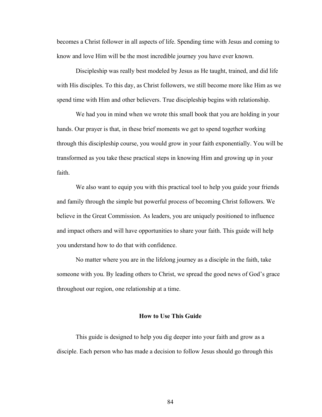becomes a Christ follower in all aspects of life. Spending time with Jesus and coming to know and love Him will be the most incredible journey you have ever known.

Discipleship was really best modeled by Jesus as He taught, trained, and did life with His disciples. To this day, as Christ followers, we still become more like Him as we spend time with Him and other believers. True discipleship begins with relationship.

We had you in mind when we wrote this small book that you are holding in your hands. Our prayer is that, in these brief moments we get to spend together working through this discipleship course, you would grow in your faith exponentially. You will be transformed as you take these practical steps in knowing Him and growing up in your faith.

We also want to equip you with this practical tool to help you guide your friends and family through the simple but powerful process of becoming Christ followers. We believe in the Great Commission. As leaders, you are uniquely positioned to influence and impact others and will have opportunities to share your faith. This guide will help you understand how to do that with confidence.

No matter where you are in the lifelong journey as a disciple in the faith, take someone with you. By leading others to Christ, we spread the good news of God's grace throughout our region, one relationship at a time.

#### **How to Use This Guide**

This guide is designed to help you dig deeper into your faith and grow as a disciple. Each person who has made a decision to follow Jesus should go through this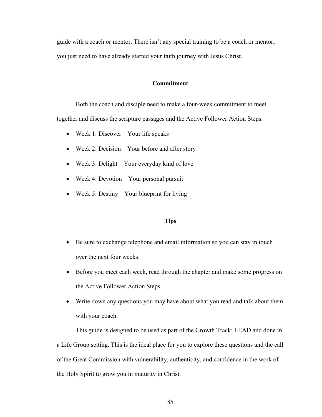guide with a coach or mentor. There isn't any special training to be a coach or mentor; you just need to have already started your faith journey with Jesus Christ.

### **Commitment**

Both the coach and disciple need to make a four-week commitment to meet together and discuss the scripture passages and the Active Follower Action Steps.

- Week 1: Discover—Your life speaks
- Week 2: Decision—Your before and after story
- Week 3: Delight—Your everyday kind of love
- Week 4: Devotion—Your personal pursuit
- Week 5: Destiny—Your blueprint for living

## **Tips**

- Be sure to exchange telephone and email information so you can stay in touch over the next four weeks.
- Before you meet each week, read through the chapter and make some progress on the Active Follower Action Steps.
- Write down any questions you may have about what you read and talk about them with your coach.

This guide is designed to be used as part of the Growth Track: LEAD and done in a Life Group setting. This is the ideal place for you to explore these questions and the call of the Great Commission with vulnerability, authenticity, and confidence in the work of the Holy Spirit to grow you in maturity in Christ.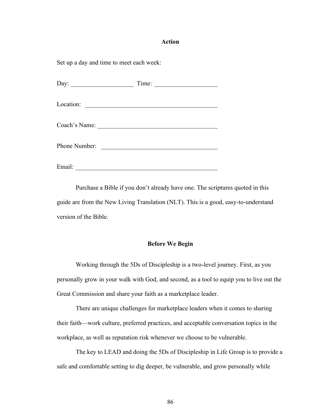#### **Action**

Set up a day and time to meet each week:

| Day: $\qquad \qquad$ | Time:<br><u> 1980 - Andrea Station Andrea Station (b. 1980)</u>                                                       |  |
|----------------------|-----------------------------------------------------------------------------------------------------------------------|--|
|                      |                                                                                                                       |  |
| Location:            |                                                                                                                       |  |
|                      |                                                                                                                       |  |
| Coach's Name:        | <u> 1989 - Johann Harry Harry Harry Harry Harry Harry Harry Harry Harry Harry Harry Harry Harry Harry Harry Harry</u> |  |
|                      |                                                                                                                       |  |
| Phone Number:        |                                                                                                                       |  |
|                      | <u> 1980 - Jan Stein Stein Stein Stein Stein Stein Stein Stein Stein Stein Stein Stein Stein Stein Stein Stein S</u>  |  |
|                      |                                                                                                                       |  |
| Email:               |                                                                                                                       |  |

Purchase a Bible if you don't already have one. The scriptures quoted in this guide are from the New Living Translation (NLT). This is a good, easy-to-understand version of the Bible.

## **Before We Begin**

Working through the 5Ds of Discipleship is a two-level journey. First, as you personally grow in your walk with God, and second, as a tool to equip you to live out the Great Commission and share your faith as a marketplace leader.

There are unique challenges for marketplace leaders when it comes to sharing their faith—work culture, preferred practices, and acceptable conversation topics in the workplace, as well as reputation risk whenever we choose to be vulnerable.

The key to LEAD and doing the 5Ds of Discipleship in Life Group is to provide a safe and comfortable setting to dig deeper, be vulnerable, and grow personally while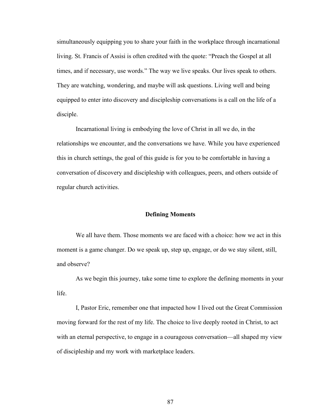simultaneously equipping you to share your faith in the workplace through incarnational living. St. Francis of Assisi is often credited with the quote: "Preach the Gospel at all times, and if necessary, use words." The way we live speaks. Our lives speak to others. They are watching, wondering, and maybe will ask questions. Living well and being equipped to enter into discovery and discipleship conversations is a call on the life of a disciple.

Incarnational living is embodying the love of Christ in all we do, in the relationships we encounter, and the conversations we have. While you have experienced this in church settings, the goal of this guide is for you to be comfortable in having a conversation of discovery and discipleship with colleagues, peers, and others outside of regular church activities.

#### **Defining Moments**

We all have them. Those moments we are faced with a choice: how we act in this moment is a game changer. Do we speak up, step up, engage, or do we stay silent, still, and observe?

As we begin this journey, take some time to explore the defining moments in your life.

I, Pastor Eric, remember one that impacted how I lived out the Great Commission moving forward for the rest of my life. The choice to live deeply rooted in Christ, to act with an eternal perspective, to engage in a courageous conversation—all shaped my view of discipleship and my work with marketplace leaders.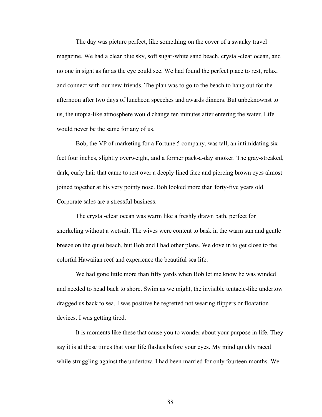The day was picture perfect, like something on the cover of a swanky travel magazine. We had a clear blue sky, soft sugar-white sand beach, crystal-clear ocean, and no one in sight as far as the eye could see. We had found the perfect place to rest, relax, and connect with our new friends. The plan was to go to the beach to hang out for the afternoon after two days of luncheon speeches and awards dinners. But unbeknownst to us, the utopia-like atmosphere would change ten minutes after entering the water. Life would never be the same for any of us.

Bob, the VP of marketing for a Fortune 5 company, was tall, an intimidating six feet four inches, slightly overweight, and a former pack-a-day smoker. The gray-streaked, dark, curly hair that came to rest over a deeply lined face and piercing brown eyes almost joined together at his very pointy nose. Bob looked more than forty-five years old. Corporate sales are a stressful business.

The crystal-clear ocean was warm like a freshly drawn bath, perfect for snorkeling without a wetsuit. The wives were content to bask in the warm sun and gentle breeze on the quiet beach, but Bob and I had other plans. We dove in to get close to the colorful Hawaiian reef and experience the beautiful sea life.

We had gone little more than fifty yards when Bob let me know he was winded and needed to head back to shore. Swim as we might, the invisible tentacle-like undertow dragged us back to sea. I was positive he regretted not wearing flippers or floatation devices. I was getting tired.

It is moments like these that cause you to wonder about your purpose in life. They say it is at these times that your life flashes before your eyes. My mind quickly raced while struggling against the undertow. I had been married for only fourteen months. We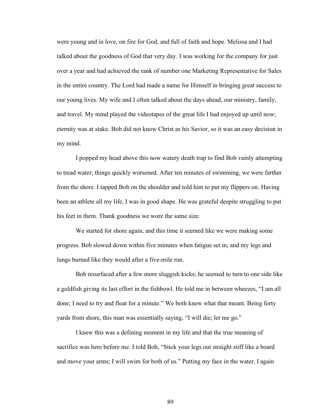were young and in love, on fire for God, and full of faith and hope. Melissa and I had talked about the goodness of God that very day. I was working for the company for just over a year and had achieved the rank of number one Marketing Representative for Sales in the entire country. The Lord had made a name for Himself in bringing great success to our young lives. My wife and I often talked about the days ahead, our ministry, family, and travel. My mind played the videotapes of the great life I had enjoyed up until now; eternity was at stake. Bob did not know Christ as his Savior, so it was an easy decision in my mind.

I popped my head above this now watery death trap to find Bob vainly attempting to tread water; things quickly worsened. After ten minutes of swimming, we were farther from the shore. I tapped Bob on the shoulder and told him to put my flippers on. Having been an athlete all my life, I was in good shape. He was grateful despite struggling to put his feet in them. Thank goodness we wore the same size.

We started for shore again, and this time it seemed like we were making some progress. Bob slowed down within five minutes when fatigue set in, and my legs and lungs burned like they would after a five-mile run.

Bob resurfaced after a few more sluggish kicks; he seemed to turn to one side like a goldfish giving its last effort in the fishbowl. He told me in between wheezes, "I am all done; I need to try and float for a minute." We both knew what that meant. Being forty yards from shore, this man was essentially saying, "I will die; let me go."

I knew this was a defining moment in my life and that the true meaning of sacrifice was here before me. I told Bob, "Stick your legs out straight stiff like a board and move your arms; I will swim for both of us." Putting my face in the water, I again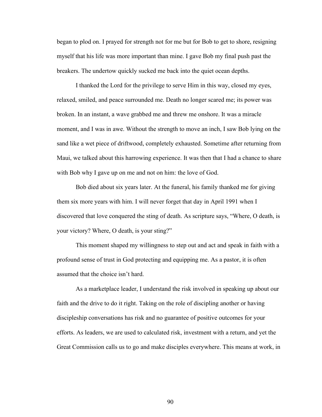began to plod on. I prayed for strength not for me but for Bob to get to shore, resigning myself that his life was more important than mine. I gave Bob my final push past the breakers. The undertow quickly sucked me back into the quiet ocean depths.

I thanked the Lord for the privilege to serve Him in this way, closed my eyes, relaxed, smiled, and peace surrounded me. Death no longer scared me; its power was broken. In an instant, a wave grabbed me and threw me onshore. It was a miracle moment, and I was in awe. Without the strength to move an inch, I saw Bob lying on the sand like a wet piece of driftwood, completely exhausted. Sometime after returning from Maui, we talked about this harrowing experience. It was then that I had a chance to share with Bob why I gave up on me and not on him: the love of God.

Bob died about six years later. At the funeral, his family thanked me for giving them six more years with him. I will never forget that day in April 1991 when I discovered that love conquered the sting of death. As scripture says, "Where, O death, is your victory? Where, O death, is your sting?"

This moment shaped my willingness to step out and act and speak in faith with a profound sense of trust in God protecting and equipping me. As a pastor, it is often assumed that the choice isn't hard.

As a marketplace leader, I understand the risk involved in speaking up about our faith and the drive to do it right. Taking on the role of discipling another or having discipleship conversations has risk and no guarantee of positive outcomes for your efforts. As leaders, we are used to calculated risk, investment with a return, and yet the Great Commission calls us to go and make disciples everywhere. This means at work, in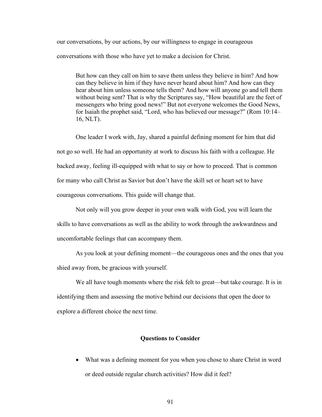our conversations, by our actions, by our willingness to engage in courageous conversations with those who have yet to make a decision for Christ.

But how can they call on him to save them unless they believe in him? And how can they believe in him if they have never heard about him? And how can they hear about him unless someone tells them? And how will anyone go and tell them without being sent? That is why the Scriptures say, "How beautiful are the feet of messengers who bring good news!" But not everyone welcomes the Good News, for Isaiah the prophet said, "Lord, who has believed our message?" (Rom 10:14– 16, NLT).

One leader I work with, Jay, shared a painful defining moment for him that did not go so well. He had an opportunity at work to discuss his faith with a colleague. He backed away, feeling ill-equipped with what to say or how to proceed. That is common for many who call Christ as Savior but don't have the skill set or heart set to have courageous conversations. This guide will change that.

Not only will you grow deeper in your own walk with God, you will learn the skills to have conversations as well as the ability to work through the awkwardness and uncomfortable feelings that can accompany them.

As you look at your defining moment—the courageous ones and the ones that you shied away from, be gracious with yourself.

We all have tough moments where the risk felt to great—but take courage. It is in identifying them and assessing the motive behind our decisions that open the door to explore a different choice the next time.

## **Questions to Consider**

• What was a defining moment for you when you chose to share Christ in word or deed outside regular church activities? How did it feel?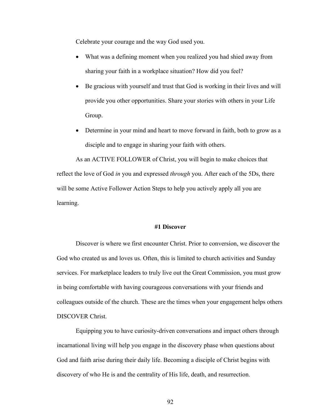Celebrate your courage and the way God used you.

- What was a defining moment when you realized you had shied away from sharing your faith in a workplace situation? How did you feel?
- Be gracious with yourself and trust that God is working in their lives and will provide you other opportunities. Share your stories with others in your Life Group.
- Determine in your mind and heart to move forward in faith, both to grow as a disciple and to engage in sharing your faith with others.

As an ACTIVE FOLLOWER of Christ, you will begin to make choices that reflect the love of God *in* you and expressed *through* you. After each of the 5Ds, there will be some Active Follower Action Steps to help you actively apply all you are learning.

#### **#1 Discover**

Discover is where we first encounter Christ. Prior to conversion, we discover the God who created us and loves us. Often, this is limited to church activities and Sunday services. For marketplace leaders to truly live out the Great Commission, you must grow in being comfortable with having courageous conversations with your friends and colleagues outside of the church. These are the times when your engagement helps others DISCOVER Christ.

Equipping you to have curiosity-driven conversations and impact others through incarnational living will help you engage in the discovery phase when questions about God and faith arise during their daily life. Becoming a disciple of Christ begins with discovery of who He is and the centrality of His life, death, and resurrection.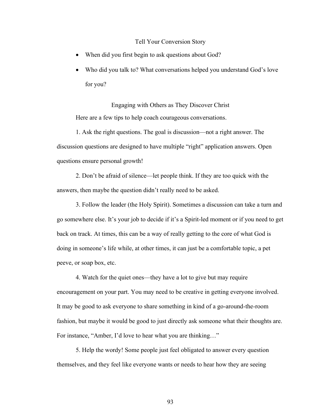#### Tell Your Conversion Story

- When did you first begin to ask questions about God?
- Who did you talk to? What conversations helped you understand God's love for you?

Engaging with Others as They Discover Christ Here are a few tips to help coach courageous conversations.

1. Ask the right questions. The goal is discussion—not a right answer. The discussion questions are designed to have multiple "right" application answers. Open questions ensure personal growth!

2. Don't be afraid of silence—let people think. If they are too quick with the answers, then maybe the question didn't really need to be asked.

3. Follow the leader (the Holy Spirit). Sometimes a discussion can take a turn and go somewhere else. It's your job to decide if it's a Spirit-led moment or if you need to get back on track. At times, this can be a way of really getting to the core of what God is doing in someone's life while, at other times, it can just be a comfortable topic, a pet peeve, or soap box, etc.

4. Watch for the quiet ones—they have a lot to give but may require encouragement on your part. You may need to be creative in getting everyone involved. It may be good to ask everyone to share something in kind of a go-around-the-room fashion, but maybe it would be good to just directly ask someone what their thoughts are. For instance, "Amber, I'd love to hear what you are thinking…"

5. Help the wordy! Some people just feel obligated to answer every question themselves, and they feel like everyone wants or needs to hear how they are seeing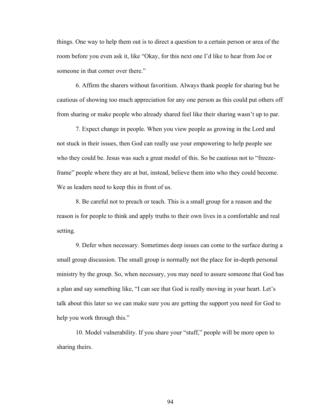things. One way to help them out is to direct a question to a certain person or area of the room before you even ask it, like "Okay, for this next one I'd like to hear from Joe or someone in that corner over there."

6. Affirm the sharers without favoritism. Always thank people for sharing but be cautious of showing too much appreciation for any one person as this could put others off from sharing or make people who already shared feel like their sharing wasn't up to par.

7. Expect change in people. When you view people as growing in the Lord and not stuck in their issues, then God can really use your empowering to help people see who they could be. Jesus was such a great model of this. So be cautious not to "freezeframe" people where they are at but, instead, believe them into who they could become. We as leaders need to keep this in front of us.

8. Be careful not to preach or teach. This is a small group for a reason and the reason is for people to think and apply truths to their own lives in a comfortable and real setting.

9. Defer when necessary. Sometimes deep issues can come to the surface during a small group discussion. The small group is normally not the place for in-depth personal ministry by the group. So, when necessary, you may need to assure someone that God has a plan and say something like, "I can see that God is really moving in your heart. Let's talk about this later so we can make sure you are getting the support you need for God to help you work through this."

10. Model vulnerability. If you share your "stuff," people will be more open to sharing theirs.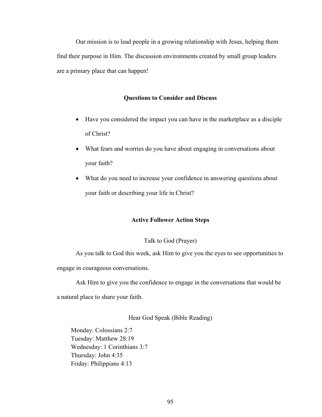Our mission is to lead people in a growing relationship with Jesus, helping them find their purpose in Him. The discussion environments created by small group leaders are a primary place that can happen!

### **Questions to Consider and Discuss**

- Have you considered the impact you can have in the marketplace as a disciple of Christ?
- What fears and worries do you have about engaging in conversations about your faith?
- What do you need to increase your confidence in answering questions about your faith or describing your life in Christ?

## **Active Follower Action Steps**

#### Talk to God (Prayer)

As you talk to God this week, ask Him to give you the eyes to see opportunities to engage in courageous conversations.

Ask Him to give you the confidence to engage in the conversations that would be

a natural place to share your faith.

Hear God Speak (Bible Reading)

Monday: Colossians 2:7 Tuesday: Matthew 28:19 Wednesday: 1 Corinthians 3:7 Thursday: John 4:35 Friday: Philippians 4:13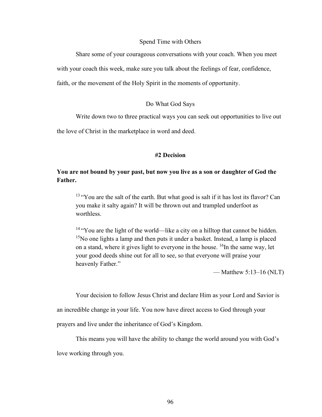#### Spend Time with Others

Share some of your courageous conversations with your coach. When you meet with your coach this week, make sure you talk about the feelings of fear, confidence, faith, or the movement of the Holy Spirit in the moments of opportunity.

#### Do What God Says

Write down two to three practical ways you can seek out opportunities to live out

the love of Christ in the marketplace in word and deed.

#### **#2 Decision**

# **You are not bound by your past, but now you live as a son or daughter of God the Father.**

<sup>13</sup> "You are the salt of the earth. But what good is salt if it has lost its flavor? Can you make it salty again? It will be thrown out and trampled underfoot as worthless.

<sup>14</sup> "You are the light of the world—like a city on a hilltop that cannot be hidden.  $15$ No one lights a lamp and then puts it under a basket. Instead, a lamp is placed on a stand, where it gives light to everyone in the house.  $^{16}$ In the same way, let your good deeds shine out for all to see, so that everyone will praise your heavenly Father."

— Matthew  $5:13-16$  (NLT)

Your decision to follow Jesus Christ and declare Him as your Lord and Savior is

an incredible change in your life. You now have direct access to God through your

prayers and live under the inheritance of God's Kingdom.

This means you will have the ability to change the world around you with God's love working through you.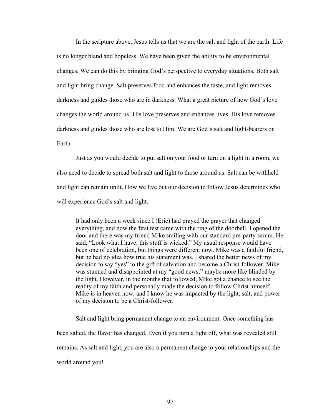In the scripture above, Jesus tells us that we are the salt and light of the earth. Life is no longer bland and hopeless. We have been given the ability to be environmental changes. We can do this by bringing God's perspective to everyday situations. Both salt and light bring change. Salt preserves food and enhances the taste, and light removes darkness and guides those who are in darkness. What a great picture of how God's love changes the world around us! His love preserves and enhances lives. His love removes darkness and guides those who are lost to Him. We are God's salt and light-bearers on Earth.

Just as you would decide to put salt on your food or turn on a light in a room, we also need to decide to spread both salt and light to those around us. Salt can be withheld and light can remain unlit. How we live out our decision to follow Jesus determines who will experience God's salt and light.

It had only been a week since I (Eric) had prayed the prayer that changed everything, and now the first test came with the ring of the doorbell. I opened the door and there was my friend Mike smiling with our standard pre-party serum. He said, "Look what I have; this stuff is wicked." My usual response would have been one of celebration, but things were different now. Mike was a faithful friend, but he had no idea how true his statement was. I shared the better news of my decision to say "yes" to the gift of salvation and become a Christ-follower. Mike was stunned and disappointed at my "good news;" maybe more like blinded by the light. However, in the months that followed, Mike got a chance to see the reality of my faith and personally made the decision to follow Christ himself. Mike is in heaven now, and I know he was impacted by the light, salt, and power of my decision to be a Christ-follower.

Salt and light bring permanent change to an environment. Once something has been salted, the flavor has changed. Even if you turn a light off, what was revealed still remains. As salt and light, you are also a permanent change to your relationships and the world around you!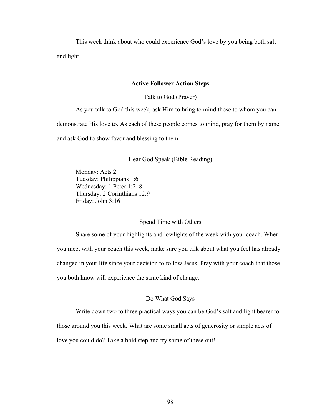This week think about who could experience God's love by you being both salt and light.

#### **Active Follower Action Steps**

Talk to God (Prayer)

As you talk to God this week, ask Him to bring to mind those to whom you can demonstrate His love to. As each of these people comes to mind, pray for them by name and ask God to show favor and blessing to them.

Hear God Speak (Bible Reading)

Monday: Acts 2 Tuesday: Philippians 1:6 Wednesday: 1 Peter 1:2–8 Thursday: 2 Corinthians 12:9 Friday: John 3:16

### Spend Time with Others

Share some of your highlights and lowlights of the week with your coach. When you meet with your coach this week, make sure you talk about what you feel has already changed in your life since your decision to follow Jesus. Pray with your coach that those you both know will experience the same kind of change.

# Do What God Says

Write down two to three practical ways you can be God's salt and light bearer to

those around you this week. What are some small acts of generosity or simple acts of

love you could do? Take a bold step and try some of these out!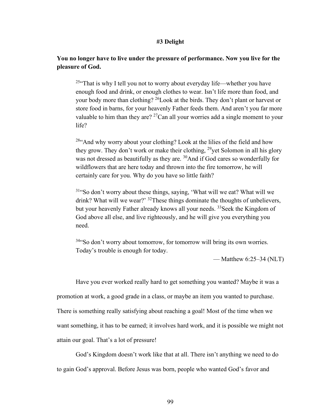#### **#3 Delight**

# **You no longer have to live under the pressure of performance. Now you live for the pleasure of God.**

 $25$ <sup>25.</sup> That is why I tell you not to worry about everyday life—whether you have enough food and drink, or enough clothes to wear. Isn't life more than food, and your body more than clothing? <sup>26</sup>Look at the birds. They don't plant or harvest or store food in barns, for your heavenly Father feeds them. And aren't you far more valuable to him than they are?  $^{27}$ Can all your worries add a single moment to your life?

<sup>28"</sup>And why worry about your clothing? Look at the lilies of the field and how they grow. They don't work or make their clothing,  $^{29}$ yet Solomon in all his glory was not dressed as beautifully as they are. <sup>30</sup>And if God cares so wonderfully for wildflowers that are here today and thrown into the fire tomorrow, he will certainly care for you. Why do you have so little faith?

<sup>31</sup>"So don't worry about these things, saying, 'What will we eat? What will we drink? What will we wear?' <sup>32</sup>These things dominate the thoughts of unbelievers, but your heavenly Father already knows all your needs. <sup>33</sup> Seek the Kingdom of God above all else, and live righteously, and he will give you everything you need.

 $34$ "So don't worry about tomorrow, for tomorrow will bring its own worries. Today's trouble is enough for today.

— Matthew 6:25–34 (NLT)

Have you ever worked really hard to get something you wanted? Maybe it was a promotion at work, a good grade in a class, or maybe an item you wanted to purchase. There is something really satisfying about reaching a goal! Most of the time when we want something, it has to be earned; it involves hard work, and it is possible we might not attain our goal. That's a lot of pressure!

God's Kingdom doesn't work like that at all. There isn't anything we need to do to gain God's approval. Before Jesus was born, people who wanted God's favor and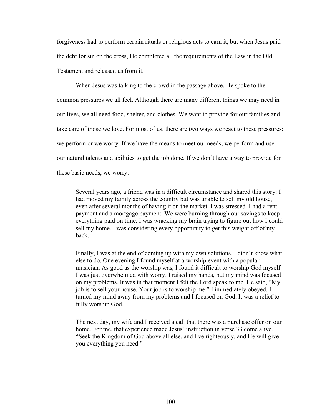forgiveness had to perform certain rituals or religious acts to earn it, but when Jesus paid the debt for sin on the cross, He completed all the requirements of the Law in the Old Testament and released us from it.

When Jesus was talking to the crowd in the passage above, He spoke to the common pressures we all feel. Although there are many different things we may need in our lives, we all need food, shelter, and clothes. We want to provide for our families and take care of those we love. For most of us, there are two ways we react to these pressures: we perform or we worry. If we have the means to meet our needs, we perform and use our natural talents and abilities to get the job done. If we don't have a way to provide for these basic needs, we worry.

Several years ago, a friend was in a difficult circumstance and shared this story: I had moved my family across the country but was unable to sell my old house, even after several months of having it on the market. I was stressed. I had a rent payment and a mortgage payment. We were burning through our savings to keep everything paid on time. I was wracking my brain trying to figure out how I could sell my home. I was considering every opportunity to get this weight off of my back.

Finally, I was at the end of coming up with my own solutions. I didn't know what else to do. One evening I found myself at a worship event with a popular musician. As good as the worship was, I found it difficult to worship God myself. I was just overwhelmed with worry. I raised my hands, but my mind was focused on my problems. It was in that moment I felt the Lord speak to me. He said, "My job is to sell your house. Your job is to worship me." I immediately obeyed. I turned my mind away from my problems and I focused on God. It was a relief to fully worship God.

The next day, my wife and I received a call that there was a purchase offer on our home. For me, that experience made Jesus' instruction in verse 33 come alive. "Seek the Kingdom of God above all else, and live righteously, and He will give you everything you need."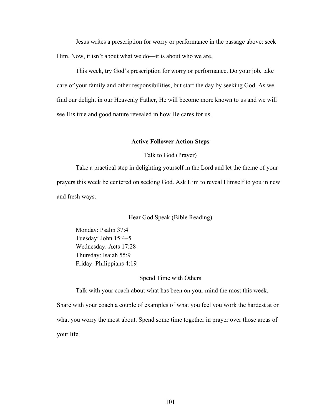Jesus writes a prescription for worry or performance in the passage above: seek Him. Now, it isn't about what we do—it is about who we are.

This week, try God's prescription for worry or performance. Do your job, take care of your family and other responsibilities, but start the day by seeking God. As we find our delight in our Heavenly Father, He will become more known to us and we will see His true and good nature revealed in how He cares for us.

#### **Active Follower Action Steps**

Talk to God (Prayer)

Take a practical step in delighting yourself in the Lord and let the theme of your prayers this week be centered on seeking God. Ask Him to reveal Himself to you in new and fresh ways.

Hear God Speak (Bible Reading)

Monday: Psalm 37:4 Tuesday: John 15:4–5 Wednesday: Acts 17:28 Thursday: Isaiah 55:9 Friday: Philippians 4:19

Spend Time with Others

Talk with your coach about what has been on your mind the most this week. Share with your coach a couple of examples of what you feel you work the hardest at or what you worry the most about. Spend some time together in prayer over those areas of your life.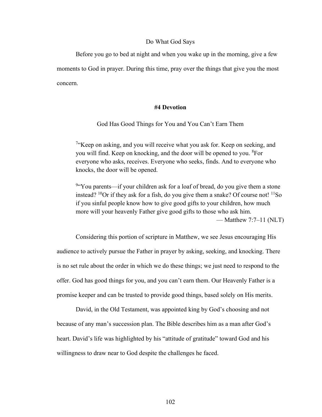#### Do What God Says

Before you go to bed at night and when you wake up in the morning, give a few moments to God in prayer. During this time, pray over the things that give you the most concern.

### **#4 Devotion**

#### God Has Good Things for You and You Can't Earn Them

<sup>7</sup>"Keep on asking, and you will receive what you ask for. Keep on seeking, and you will find. Keep on knocking, and the door will be opened to you. <sup>8</sup>For everyone who asks, receives. Everyone who seeks, finds. And to everyone who knocks, the door will be opened.

<sup>9</sup> You parents—if your children ask for a loaf of bread, do you give them a stone instead?  $^{10}$ Or if they ask for a fish, do you give them a snake? Of course not!  $^{11}$ So if you sinful people know how to give good gifts to your children, how much more will your heavenly Father give good gifts to those who ask him. — Matthew 7:7–11 (NLT)

Considering this portion of scripture in Matthew, we see Jesus encouraging His audience to actively pursue the Father in prayer by asking, seeking, and knocking. There is no set rule about the order in which we do these things; we just need to respond to the offer. God has good things for you, and you can't earn them. Our Heavenly Father is a promise keeper and can be trusted to provide good things, based solely on His merits.

David, in the Old Testament, was appointed king by God's choosing and not because of any man's succession plan. The Bible describes him as a man after God's heart. David's life was highlighted by his "attitude of gratitude" toward God and his willingness to draw near to God despite the challenges he faced.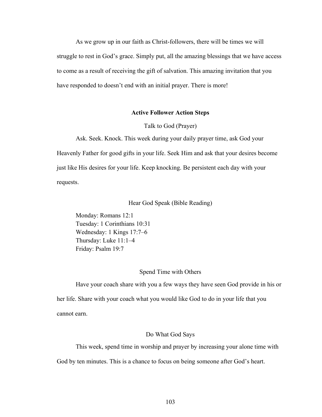As we grow up in our faith as Christ-followers, there will be times we will struggle to rest in God's grace. Simply put, all the amazing blessings that we have access to come as a result of receiving the gift of salvation. This amazing invitation that you have responded to doesn't end with an initial prayer. There is more!

### **Active Follower Action Steps**

#### Talk to God (Prayer)

Ask. Seek. Knock. This week during your daily prayer time, ask God your Heavenly Father for good gifts in your life. Seek Him and ask that your desires become just like His desires for your life. Keep knocking. Be persistent each day with your requests.

### Hear God Speak (Bible Reading)

Monday: Romans 12:1 Tuesday: 1 Corinthians 10:31 Wednesday: 1 Kings 17:7–6 Thursday: Luke 11:1–4 Friday: Psalm 19:7

#### Spend Time with Others

Have your coach share with you a few ways they have seen God provide in his or her life. Share with your coach what you would like God to do in your life that you cannot earn.

### Do What God Says

This week, spend time in worship and prayer by increasing your alone time with God by ten minutes. This is a chance to focus on being someone after God's heart.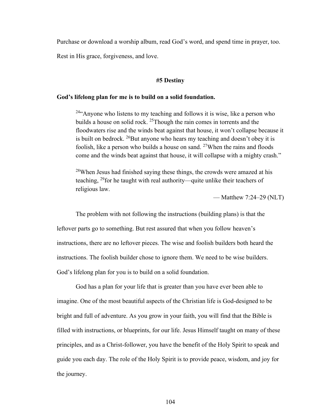Purchase or download a worship album, read God's word, and spend time in prayer, too.

Rest in His grace, forgiveness, and love.

#### **#5 Destiny**

#### **God's lifelong plan for me is to build on a solid foundation.**

<sup>24</sup> Anyone who listens to my teaching and follows it is wise, like a person who builds a house on solid rock. <sup>25</sup>Though the rain comes in torrents and the floodwaters rise and the winds beat against that house, it won't collapse because it is built on bedrock.  $^{26}$ But anyone who hears my teaching and doesn't obey it is foolish, like a person who builds a house on sand.  $27$ When the rains and floods come and the winds beat against that house, it will collapse with a mighty crash."

 $28$ When Jesus had finished saying these things, the crowds were amazed at his teaching, <sup>29</sup>for he taught with real authority—quite unlike their teachers of religious law.

— Matthew 7:24–29 (NLT)

The problem with not following the instructions (building plans) is that the leftover parts go to something. But rest assured that when you follow heaven's instructions, there are no leftover pieces. The wise and foolish builders both heard the instructions. The foolish builder chose to ignore them. We need to be wise builders. God's lifelong plan for you is to build on a solid foundation.

God has a plan for your life that is greater than you have ever been able to imagine. One of the most beautiful aspects of the Christian life is God-designed to be bright and full of adventure. As you grow in your faith, you will find that the Bible is filled with instructions, or blueprints, for our life. Jesus Himself taught on many of these principles, and as a Christ-follower, you have the benefit of the Holy Spirit to speak and guide you each day. The role of the Holy Spirit is to provide peace, wisdom, and joy for the journey.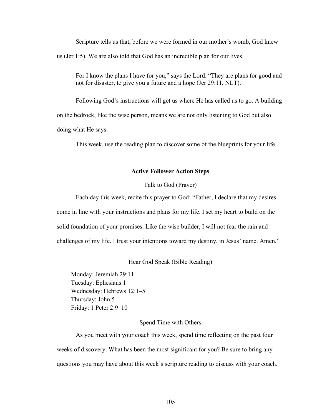Scripture tells us that, before we were formed in our mother's womb, God knew us (Jer 1:5). We are also told that God has an incredible plan for our lives.

For I know the plans I have for you," says the Lord. "They are plans for good and not for disaster, to give you a future and a hope (Jer 29:11, NLT).

Following God's instructions will get us where He has called us to go. A building on the bedrock, like the wise person, means we are not only listening to God but also doing what He says.

This week, use the reading plan to discover some of the blueprints for your life.

### **Active Follower Action Steps**

### Talk to God (Prayer)

Each day this week, recite this prayer to God: "Father, I declare that my desires come in line with your instructions and plans for my life. I set my heart to build on the solid foundation of your promises. Like the wise builder, I will not fear the rain and challenges of my life. I trust your intentions toward my destiny, in Jesus' name. Amen."

Hear God Speak (Bible Reading)

Monday: Jeremiah 29:11 Tuesday: Ephesians 1 Wednesday: Hebrews 12:1–5 Thursday: John 5 Friday: 1 Peter 2:9–10

### Spend Time with Others

As you meet with your coach this week, spend time reflecting on the past four weeks of discovery. What has been the most significant for you? Be sure to bring any questions you may have about this week's scripture reading to discuss with your coach.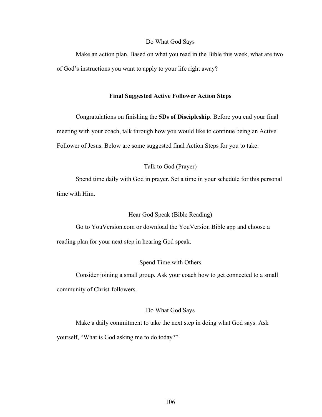#### Do What God Says

Make an action plan. Based on what you read in the Bible this week, what are two of God's instructions you want to apply to your life right away?

### **Final Suggested Active Follower Action Steps**

Congratulations on finishing the **5Ds of Discipleship**. Before you end your final meeting with your coach, talk through how you would like to continue being an Active Follower of Jesus. Below are some suggested final Action Steps for you to take:

### Talk to God (Prayer)

Spend time daily with God in prayer. Set a time in your schedule for this personal time with Him.

Hear God Speak (Bible Reading)

Go to YouVersion.com or download the YouVersion Bible app and choose a reading plan for your next step in hearing God speak.

#### Spend Time with Others

Consider joining a small group. Ask your coach how to get connected to a small community of Christ-followers.

#### Do What God Says

Make a daily commitment to take the next step in doing what God says. Ask yourself, "What is God asking me to do today?"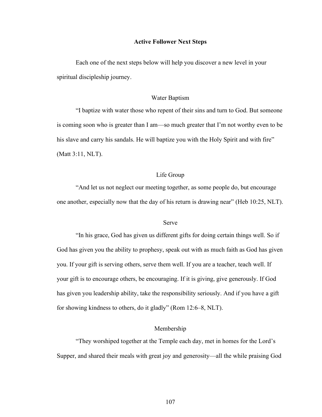### **Active Follower Next Steps**

Each one of the next steps below will help you discover a new level in your spiritual discipleship journey.

#### Water Baptism

"I baptize with water those who repent of their sins and turn to God. But someone is coming soon who is greater than I am—so much greater that I'm not worthy even to be his slave and carry his sandals. He will baptize you with the Holy Spirit and with fire" (Matt 3:11, NLT).

### Life Group

"And let us not neglect our meeting together, as some people do, but encourage one another, especially now that the day of his return is drawing near" (Heb 10:25, NLT).

### Serve

"In his grace, God has given us different gifts for doing certain things well. So if God has given you the ability to prophesy, speak out with as much faith as God has given you. If your gift is serving others, serve them well. If you are a teacher, teach well. If your gift is to encourage others, be encouraging. If it is giving, give generously. If God has given you leadership ability, take the responsibility seriously. And if you have a gift for showing kindness to others, do it gladly" (Rom 12:6–8, NLT).

#### Membership

"They worshiped together at the Temple each day, met in homes for the Lord's Supper, and shared their meals with great joy and generosity—all the while praising God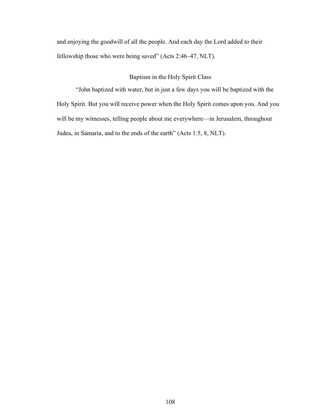and enjoying the goodwill of all the people. And each day the Lord added to their fellowship those who were being saved" (Acts 2:46–47, NLT).

## Baptism in the Holy Spirit Class

"John baptized with water, but in just a few days you will be baptized with the Holy Spirit. But you will receive power when the Holy Spirit comes upon you. And you will be my witnesses, telling people about me everywhere—in Jerusalem, throughout Judea, in Samaria, and to the ends of the earth" (Acts 1:5, 8, NLT).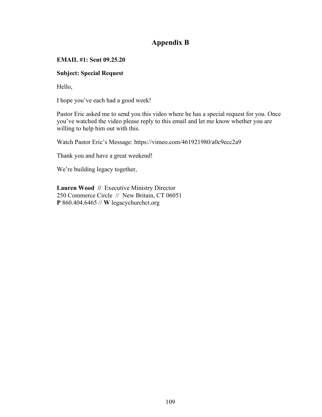# **Appendix B**

# **EMAIL #1: Sent 09.25.20**

# **Subject: Special Request**

Hello,

I hope you've each had a good week!

Pastor Eric asked me to send you this video where he has a special request for you. Once you've watched the video please reply to this email and let me know whether you are willing to help him out with this.

Watch Pastor Eric's Message: https://vimeo.com/461921980/a0c9ecc2a9

Thank you and have a great weekend!

We're building legacy together,

**Lauren Wood //** Executive Ministry Director 250 Commerce Circle // New Britain, CT 06051 **P** 860.404.6465 // **W** legacychurchct.org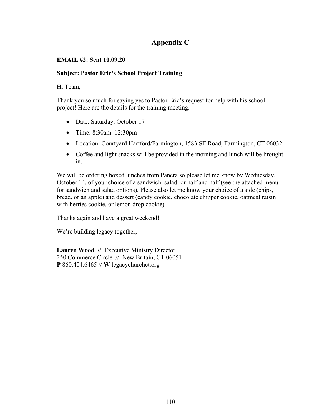# **Appendix C**

# **EMAIL #2: Sent 10.09.20**

# **Subject: Pastor Eric's School Project Training**

# Hi Team,

Thank you so much for saying yes to Pastor Eric's request for help with his school project! Here are the details for the training meeting.

- Date: Saturday, October 17
- Time: 8:30am-12:30pm
- Location: Courtyard Hartford/Farmington, 1583 SE Road, Farmington, CT 06032
- Coffee and light snacks will be provided in the morning and lunch will be brought in.

We will be ordering boxed lunches from Panera so please let me know by Wednesday, October 14, of your choice of a sandwich, salad, or half and half (see the attached menu for sandwich and salad options). Please also let me know your choice of a side (chips, bread, or an apple) and dessert (candy cookie, chocolate chipper cookie, oatmeal raisin with berries cookie, or lemon drop cookie).

Thanks again and have a great weekend!

We're building legacy together,

**Lauren Wood //** Executive Ministry Director 250 Commerce Circle // New Britain, CT 06051 **P** 860.404.6465 // **W** legacychurchct.org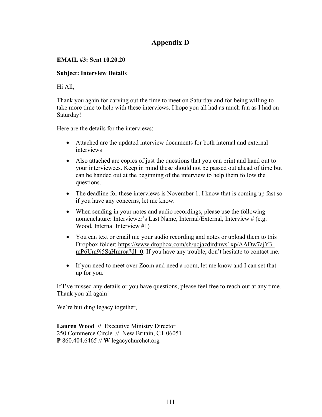# **Appendix D**

# **EMAIL #3: Sent 10.20.20**

# **Subject: Interview Details**

Hi All,

Thank you again for carving out the time to meet on Saturday and for being willing to take more time to help with these interviews. I hope you all had as much fun as I had on Saturday!

Here are the details for the interviews:

- Attached are the updated interview documents for both internal and external interviews
- Also attached are copies of just the questions that you can print and hand out to your interviewees. Keep in mind these should not be passed out ahead of time but can be handed out at the beginning of the interview to help them follow the questions.
- The deadline for these interviews is November 1. I know that is coming up fast so if you have any concerns, let me know.
- When sending in your notes and audio recordings, please use the following nomenclature: Interviewer's Last Name, Internal/External, Interview # (e.g. Wood, Internal Interview #1)
- You can text or email me your audio recording and notes or upload them to this Dropbox folder: https://www.dropbox.com/sh/uqjazdirdnws1xp/AADw7ajY3 mP6Um9j5SaHmroa?dl=0. If you have any trouble, don't hesitate to contact me.
- If you need to meet over Zoom and need a room, let me know and I can set that up for you.

If I've missed any details or you have questions, please feel free to reach out at any time. Thank you all again!

We're building legacy together,

**Lauren Wood //** Executive Ministry Director 250 Commerce Circle // New Britain, CT 06051 **P** 860.404.6465 // **W** legacychurchct.org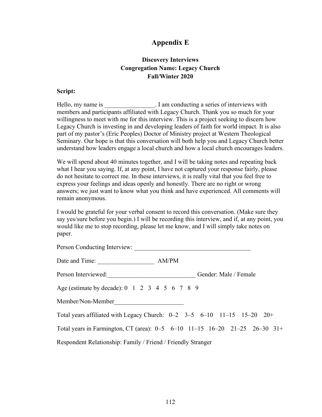# **Appendix E**

# **Discovery Interviews Congregation Name: Legacy Church Fall/Winter 2020**

## **Script:**

Hello, my name is  $\qquad \qquad$  I am conducting a series of interviews with members and participants affiliated with Legacy Church. Thank you so much for your willingness to meet with me for this interview. This is a project seeking to discern how Legacy Church is investing in and developing leaders of faith for world impact. It is also part of my pastor's (Eric Peoples) Doctor of Ministry project at Western Theological Seminary. Our hope is that this conversation will both help you and Legacy Church better understand how leaders engage a local church and how a local church encourages leaders.

We will spend about 40 minutes together, and I will be taking notes and repeating back what I hear you saying. If, at any point, I have not captured your response fairly, please do not hesitate to correct me. In these interviews, it is really vital that you feel free to express your feelings and ideas openly and honestly. There are no right or wrong answers; we just want to know what you think and have experienced. All comments will remain anonymous.

I would be grateful for your verbal consent to record this conversation. (Make sure they say yes/sure before you begin.) I will be recording this interview, and if, at any point, you would like me to stop recording, please let me know, and I will simply take notes on paper.

| Person Conducting Interview:                                 |                                                                            |
|--------------------------------------------------------------|----------------------------------------------------------------------------|
| Date and Time:                                               | AM/PM                                                                      |
| Person Interviewed:                                          | Gender: Male / Female                                                      |
| Age (estimate by decade): 0 1 2 3 4 5 6 7 8 9                |                                                                            |
| Member/Non-Member                                            |                                                                            |
|                                                              | Total years affiliated with Legacy Church: $0-2$ 3-5 6-10 11-15 15-20 20+  |
|                                                              | Total years in Farmington, CT (area): 0–5 6–10 11–15 16–20 21–25 26–30 31+ |
| Respondent Relationship: Family / Friend / Friendly Stranger |                                                                            |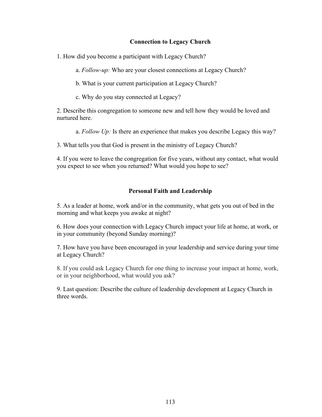## **Connection to Legacy Church**

1. How did you become a participant with Legacy Church?

a. *Follow-up:* Who are your closest connections at Legacy Church?

b. What is your current participation at Legacy Church?

c. Why do you stay connected at Legacy?

2. Describe this congregation to someone new and tell how they would be loved and nurtured here.

a. *Follow Up:* Is there an experience that makes you describe Legacy this way?

3. What tells you that God is present in the ministry of Legacy Church?

4. If you were to leave the congregation for five years, without any contact, what would you expect to see when you returned? What would you hope to see?

# **Personal Faith and Leadership**

5. As a leader at home, work and/or in the community, what gets you out of bed in the morning and what keeps you awake at night?

6. How does your connection with Legacy Church impact your life at home, at work, or in your community (beyond Sunday morning)?

7. How have you have been encouraged in your leadership and service during your time at Legacy Church?

8. If you could ask Legacy Church for one thing to increase your impact at home, work, or in your neighborhood, what would you ask?

9. Last question: Describe the culture of leadership development at Legacy Church in three words.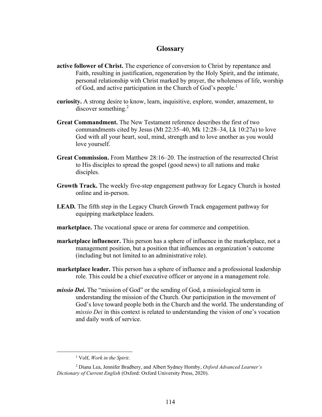# **Glossary**

- **active follower of Christ.** The experience of conversion to Christ by repentance and Faith, resulting in justification, regeneration by the Holy Spirit, and the intimate, personal relationship with Christ marked by prayer, the wholeness of life, worship of God, and active participation in the Church of God's people.<sup>1</sup>
- **curiosity.** A strong desire to know, learn, inquisitive, explore, wonder, amazement, to discover something.<sup>2</sup>
- **Great Commandment.** The New Testament reference describes the first of two commandments cited by Jesus (Mt 22:35–40, Mk 12:28–34, Lk 10:27a) to love God with all your heart, soul, mind, strength and to love another as you would love yourself.
- **Great Commission.** From Matthew 28:16–20. The instruction of the resurrected Christ to His disciples to spread the gospel (good news) to all nations and make disciples.
- **Growth Track.** The weekly five-step engagement pathway for Legacy Church is hosted online and in-person.
- **LEAD***.* The fifth step in the Legacy Church Growth Track engagement pathway for equipping marketplace leaders.
- **marketplace.** The vocational space or arena for commerce and competition.
- **marketplace influencer.** This person has a sphere of influence in the marketplace, not a management position, but a position that influences an organization's outcome (including but not limited to an administrative role).
- **marketplace leader.** This person has a sphere of influence and a professional leadership role. This could be a chief executive officer or anyone in a management role.
- *missio Dei***.** The "mission of God" or the sending of God, a missiological term in understanding the mission of the Church. Our participation in the movement of God's love toward people both in the Church and the world. The understanding of *missio Dei* in this context is related to understanding the vision of one's vocation and daily work of service.

<sup>1</sup> Volf, *Work in the Spirit*.

<sup>2</sup> Diana Lea, Jennifer Bradbery, and Albert Sydney Hornby, *Oxford Advanced Learner's Dictionary of Current English* (Oxford: Oxford University Press, 2020).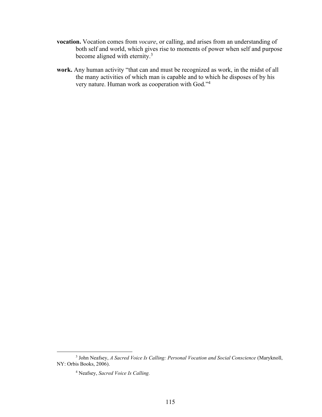- **vocation.** Vocation comes from *vocare*, or calling, and arises from an understanding of both self and world, which gives rise to moments of power when self and purpose become aligned with eternity.<sup>3</sup>
- **work.** Any human activity "that can and must be recognized as work, in the midst of all the many activities of which man is capable and to which he disposes of by his very nature. Human work as cooperation with God."<sup>4</sup>

<sup>3</sup> John Neafsey, *A Sacred Voice Is Calling: Personal Vocation and Social Conscience* (Maryknoll, NY: Orbis Books, 2006).

<sup>4</sup> Neafsey, *Sacred Voice Is Calling.*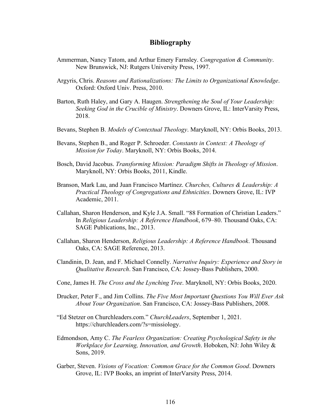### **Bibliography**

- Ammerman, Nancy Tatom, and Arthur Emery Farnsley. *Congregation & Community*. New Brunswick, NJ: Rutgers University Press, 1997.
- Argyris, Chris. *Reasons and Rationalizations: The Limits to Organizational Knowledge*. Oxford: Oxford Univ. Press, 2010.
- Barton, Ruth Haley, and Gary A. Haugen. *Strengthening the Soul of Your Leadership: Seeking God in the Crucible of Ministry*. Downers Grove, IL: InterVarsity Press, 2018.
- Bevans, Stephen B. *Models of Contextual Theology*. Maryknoll, NY: Orbis Books, 2013.
- Bevans, Stephen B., and Roger P. Schroeder. *Constants in Context: A Theology of Mission for Today*. Maryknoll, NY: Orbis Books, 2014.
- Bosch, David Jacobus. *Transforming Mission: Paradigm Shifts in Theology of Mission*. Maryknoll, NY: Orbis Books, 2011, Kindle.
- Branson, Mark Lau, and Juan Francisco Martínez. *Churches, Cultures & Leadership: A Practical Theology of Congregations and Ethnicities*. Downers Grove, IL: IVP Academic, 2011.
- Callahan, Sharon Henderson, and Kyle J.A. Small. "88 Formation of Christian Leaders." In *Religious Leadership: A Reference Handbook*, 679–80. Thousand Oaks, CA: SAGE Publications, Inc., 2013.
- Callahan, Sharon Henderson, *Religious Leadership: A Reference Handbook*. Thousand Oaks, CA: SAGE Reference, 2013.
- Clandinin, D. Jean, and F. Michael Connelly. *Narrative Inquiry: Experience and Story in Qualitative Research*. San Francisco, CA: Jossey-Bass Publishers, 2000.
- Cone, James H. *The Cross and the Lynching Tree*. Maryknoll, NY: Orbis Books, 2020.
- Drucker, Peter F., and Jim Collins. *The Five Most Important Questions You Will Ever Ask About Your Organization*. San Francisco, CA: Jossey-Bass Publishers, 2008.
- "Ed Stetzer on Churchleaders.com." *ChurchLeaders*, September 1, 2021. https://churchleaders.com/?s=missiology.
- Edmondson, Amy C. *The Fearless Organization: Creating Psychological Safety in the Workplace for Learning, Innovation, and Growth*. Hoboken, NJ: John Wiley & Sons, 2019.
- Garber, Steven. *Visions of Vocation: Common Grace for the Common Good*. Downers Grove, IL: IVP Books, an imprint of InterVarsity Press, 2014.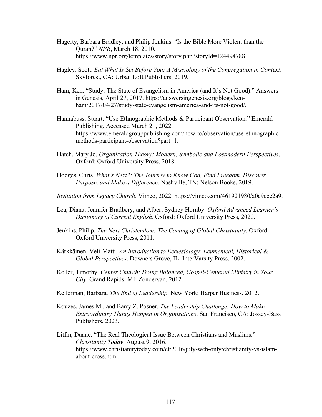- Hagerty, Barbara Bradley, and Philip Jenkins. "Is the Bible More Violent than the Quran?" *NPR*, March 18, 2010. https://www.npr.org/templates/story/story.php?storyId=124494788.
- Hagley, Scott. *Eat What Is Set Before You: A Missiology of the Congregation in Context*. Skyforest, CA: Urban Loft Publishers, 2019.
- Ham, Ken. "Study: The State of Evangelism in America (and It's Not Good)." Answers in Genesis, April 27, 2017. https://answersingenesis.org/blogs/kenham/2017/04/27/study-state-evangelism-america-and-its-not-good/.
- Hannabuss, Stuart. "Use Ethnographic Methods & Participant Observation." Emerald Publishing. Accessed March 21, 2022. https://www.emeraldgrouppublishing.com/how-to/observation/use-ethnographicmethods-participant-observation?part=1.
- Hatch, Mary Jo. *Organization Theory: Modern, Symbolic and Postmodern Perspectives*. Oxford: Oxford University Press, 2018.
- Hodges, Chris. *What's Next?: The Journey to Know God, Find Freedom, Discover Purpose, and Make a Difference*. Nashville, TN: Nelson Books, 2019.
- *Invitation from Legacy Church*. Vimeo, 2022. https://vimeo.com/461921980/a0c9ecc2a9.
- Lea, Diana, Jennifer Bradbery, and Albert Sydney Hornby. *Oxford Advanced Learner's Dictionary of Current English*. Oxford: Oxford University Press, 2020.
- Jenkins, Philip. *The Next Christendom: The Coming of Global Christianity*. Oxford: Oxford University Press, 2011.
- Kärkkäinen, Veli-Matti. *An Introduction to Ecclesiology: Ecumenical, Historical & Global Perspectives*. Downers Grove, IL: InterVarsity Press, 2002.
- Keller, Timothy. *Center Church: Doing Balanced, Gospel-Centered Ministry in Your City*. Grand Rapids, MI: Zondervan, 2012.
- Kellerman, Barbara. *The End of Leadership*. New York: Harper Business, 2012.
- Kouzes, James M., and Barry Z. Posner. *The Leadership Challenge: How to Make Extraordinary Things Happen in Organizations*. San Francisco, CA: Jossey-Bass Publishers, 2023.
- Litfin, Duane. "The Real Theological Issue Between Christians and Muslims." *Christianity Today*, August 9, 2016. https://www.christianitytoday.com/ct/2016/july-web-only/christianity-vs-islamabout-cross.html.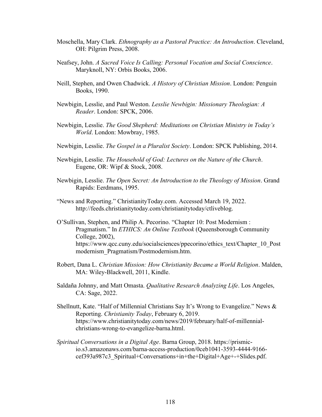- Moschella, Mary Clark. *Ethnography as a Pastoral Practice: An Introduction*. Cleveland, OH: Pilgrim Press, 2008.
- Neafsey, John. *A Sacred Voice Is Calling: Personal Vocation and Social Conscience*. Maryknoll, NY: Orbis Books, 2006.
- Neill, Stephen, and Owen Chadwick. *A History of Christian Mission*. London: Penguin Books, 1990.
- Newbigin, Lesslie, and Paul Weston. *Lesslie Newbigin: Missionary Theologian: A Reader*. London: SPCK, 2006.
- Newbigin, Lesslie. *The Good Shepherd: Meditations on Christian Ministry in Today's World*. London: Mowbray, 1985.
- Newbigin, Lesslie. *The Gospel in a Pluralist Society*. London: SPCK Publishing, 2014.
- Newbigin, Lesslie. *The Household of God: Lectures on the Nature of the Church*. Eugene, OR: Wipf & Stock, 2008.
- Newbigin, Lesslie. *The Open Secret: An Introduction to the Theology of Mission*. Grand Rapids: Eerdmans, 1995.
- "News and Reporting." ChristianityToday.com. Accessed March 19, 2022. http://feeds.christianitytoday.com/christianitytoday/ctliveblog.
- O'Sullivan, Stephen, and Philip A. Pecorino. "Chapter 10: Post Modernism : Pragmatism." In *ETHICS: An Online Textbook* (Queensborough Community College, 2002), https://www.qcc.cuny.edu/socialsciences/ppecorino/ethics\_text/Chapter\_10\_Post modernism\_Pragmatism/Postmodernism.htm.
- Robert, Dana L. *Christian Mission: How Christianity Became a World Religion*. Malden, MA: Wiley-Blackwell, 2011, Kindle.
- Saldaña Johnny, and Matt Omasta. *Qualitative Research Analyzing Life*. Los Angeles, CA: Sage, 2022.
- Shellnutt, Kate. "Half of Millennial Christians Say It's Wrong to Evangelize." News & Reporting. *Christianity Today*, February 6, 2019. https://www.christianitytoday.com/news/2019/february/half-of-millennialchristians-wrong-to-evangelize-barna.html.
- *Spiritual Conversations in a Digital Age*. Barna Group, 2018. https://prismicio.s3.amazonaws.com/barna-access-production/0ceb1041-3593-4444-9166 cef393a987c3\_Spiritual+Conversations+in+the+Digital+Age+-+Slides.pdf.